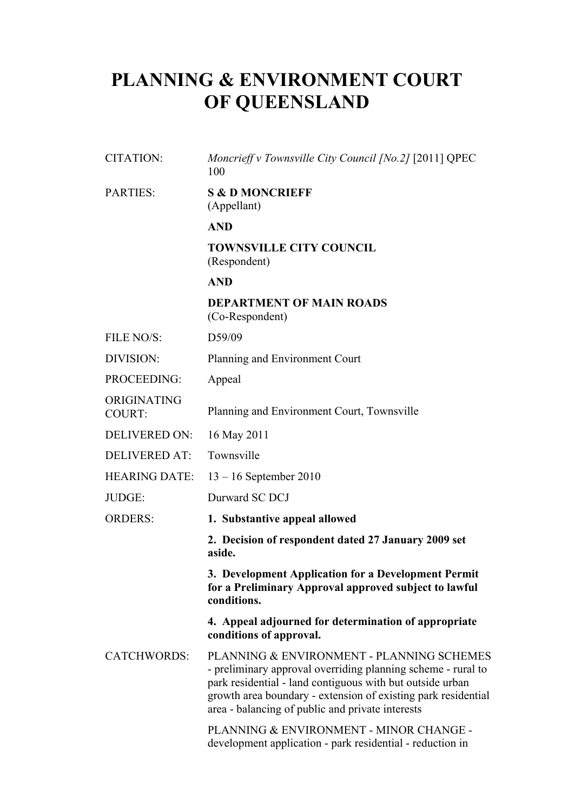# **PLANNING & ENVIRONMENT COURT OF QUEENSLAND**

| <b>CITATION:</b>             | Moncrieff v Townsville City Council [No.2] [2011] QPEC<br>100                                                                                                                                                                                                                               |
|------------------------------|---------------------------------------------------------------------------------------------------------------------------------------------------------------------------------------------------------------------------------------------------------------------------------------------|
| <b>PARTIES:</b>              | <b>S &amp; D MONCRIEFF</b><br>(Appellant)                                                                                                                                                                                                                                                   |
|                              | <b>AND</b>                                                                                                                                                                                                                                                                                  |
|                              | <b>TOWNSVILLE CITY COUNCIL</b><br>(Respondent)                                                                                                                                                                                                                                              |
|                              | <b>AND</b>                                                                                                                                                                                                                                                                                  |
|                              | <b>DEPARTMENT OF MAIN ROADS</b><br>(Co-Respondent)                                                                                                                                                                                                                                          |
| FILE NO/S:                   | D59/09                                                                                                                                                                                                                                                                                      |
| DIVISION:                    | Planning and Environment Court                                                                                                                                                                                                                                                              |
| PROCEEDING:                  | Appeal                                                                                                                                                                                                                                                                                      |
| ORIGINATING<br><b>COURT:</b> | Planning and Environment Court, Townsville                                                                                                                                                                                                                                                  |
| DELIVERED ON:                | 16 May 2011                                                                                                                                                                                                                                                                                 |
| <b>DELIVERED AT:</b>         | Townsville                                                                                                                                                                                                                                                                                  |
| <b>HEARING DATE:</b>         | $13 - 16$ September 2010                                                                                                                                                                                                                                                                    |
| JUDGE:                       | Durward SC DCJ                                                                                                                                                                                                                                                                              |
| <b>ORDERS:</b>               | 1. Substantive appeal allowed                                                                                                                                                                                                                                                               |
|                              | 2. Decision of respondent dated 27 January 2009 set<br>aside.                                                                                                                                                                                                                               |
|                              | 3. Development Application for a Development Permit<br>for a Preliminary Approval approved subject to lawful<br>conditions.                                                                                                                                                                 |
|                              | 4. Appeal adjourned for determination of appropriate<br>conditions of approval.                                                                                                                                                                                                             |
| <b>CATCHWORDS:</b>           | PLANNING & ENVIRONMENT - PLANNING SCHEMES<br>- preliminary approval overriding planning scheme - rural to<br>park residential - land contiguous with but outside urban<br>growth area boundary - extension of existing park residential<br>area - balancing of public and private interests |
|                              | PLANNING & ENVIRONMENT - MINOR CHANGE -                                                                                                                                                                                                                                                     |

development application - park residential - reduction in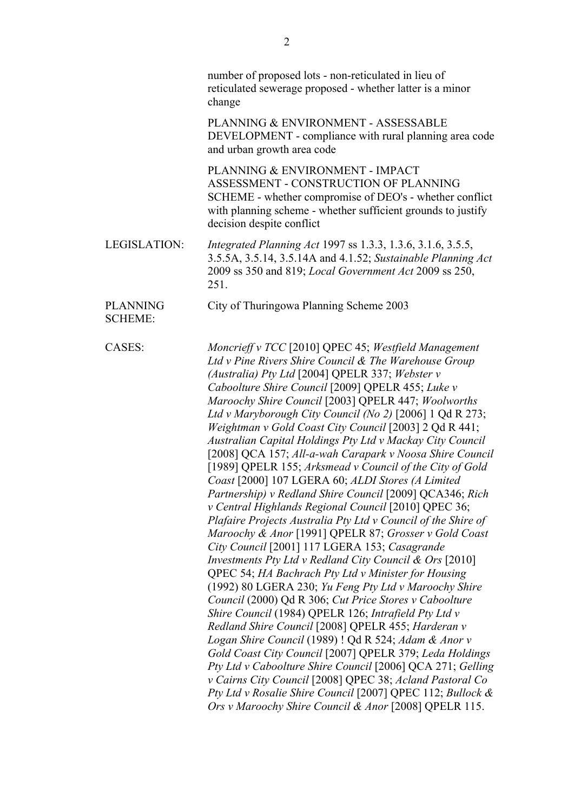|                                   | number of proposed lots - non-reticulated in lieu of<br>reticulated sewerage proposed - whether latter is a minor<br>change                                                                                                                                                                                                                                                                                                                                                                                                                                                                                                                                                                                                                                                                                                                                                                                                                                                                                                                                                                                                                                                                                                                                                                                                                                                                                                                                                                                                                                                                                                                                        |
|-----------------------------------|--------------------------------------------------------------------------------------------------------------------------------------------------------------------------------------------------------------------------------------------------------------------------------------------------------------------------------------------------------------------------------------------------------------------------------------------------------------------------------------------------------------------------------------------------------------------------------------------------------------------------------------------------------------------------------------------------------------------------------------------------------------------------------------------------------------------------------------------------------------------------------------------------------------------------------------------------------------------------------------------------------------------------------------------------------------------------------------------------------------------------------------------------------------------------------------------------------------------------------------------------------------------------------------------------------------------------------------------------------------------------------------------------------------------------------------------------------------------------------------------------------------------------------------------------------------------------------------------------------------------------------------------------------------------|
|                                   | PLANNING & ENVIRONMENT - ASSESSABLE<br>DEVELOPMENT - compliance with rural planning area code<br>and urban growth area code                                                                                                                                                                                                                                                                                                                                                                                                                                                                                                                                                                                                                                                                                                                                                                                                                                                                                                                                                                                                                                                                                                                                                                                                                                                                                                                                                                                                                                                                                                                                        |
|                                   | PLANNING & ENVIRONMENT - IMPACT<br>ASSESSMENT - CONSTRUCTION OF PLANNING<br>SCHEME - whether compromise of DEO's - whether conflict<br>with planning scheme - whether sufficient grounds to justify<br>decision despite conflict                                                                                                                                                                                                                                                                                                                                                                                                                                                                                                                                                                                                                                                                                                                                                                                                                                                                                                                                                                                                                                                                                                                                                                                                                                                                                                                                                                                                                                   |
| <b>LEGISLATION:</b>               | <i>Integrated Planning Act 1997 ss 1.3.3, 1.3.6, 3.1.6, 3.5.5,</i><br>3.5.5A, 3.5.14, 3.5.14A and 4.1.52; Sustainable Planning Act<br>2009 ss 350 and 819; Local Government Act 2009 ss 250,<br>251.                                                                                                                                                                                                                                                                                                                                                                                                                                                                                                                                                                                                                                                                                                                                                                                                                                                                                                                                                                                                                                                                                                                                                                                                                                                                                                                                                                                                                                                               |
| <b>PLANNING</b><br><b>SCHEME:</b> | City of Thuringowa Planning Scheme 2003                                                                                                                                                                                                                                                                                                                                                                                                                                                                                                                                                                                                                                                                                                                                                                                                                                                                                                                                                                                                                                                                                                                                                                                                                                                                                                                                                                                                                                                                                                                                                                                                                            |
| CASES:                            | Moncrieff v TCC [2010] QPEC 45; Westfield Management<br>Ltd v Pine Rivers Shire Council & The Warehouse Group<br>(Australia) Pty Ltd [2004] QPELR 337; Webster v<br>Caboolture Shire Council [2009] QPELR 455; Luke v<br>Maroochy Shire Council [2003] QPELR 447; Woolworths<br>Ltd v Maryborough City Council (No 2) [2006] 1 Qd R 273;<br>Weightman v Gold Coast City Council [2003] 2 Qd R 441;<br>Australian Capital Holdings Pty Ltd v Mackay City Council<br>[2008] QCA 157; All-a-wah Carapark v Noosa Shire Council<br>[1989] QPELR 155; Arksmead v Council of the City of Gold<br>Coast [2000] 107 LGERA 60; ALDI Stores (A Limited<br>Partnership) v Redland Shire Council [2009] QCA346; Rich<br>v Central Highlands Regional Council [2010] QPEC 36;<br>Plafaire Projects Australia Pty Ltd v Council of the Shire of<br>Maroochy & Anor [1991] QPELR 87; Grosser v Gold Coast<br>City Council [2001] 117 LGERA 153; Casagrande<br>Investments Pty Ltd v Redland City Council & Ors [2010]<br>QPEC 54; HA Bachrach Pty Ltd v Minister for Housing<br>(1992) 80 LGERA 230; Yu Feng Pty Ltd v Maroochy Shire<br>Council (2000) Qd R 306; Cut Price Stores v Caboolture<br>Shire Council (1984) QPELR 126; Intrafield Pty Ltd v<br>Redland Shire Council [2008] QPELR 455; Harderan v<br>Logan Shire Council (1989) ! Qd R 524; Adam & Anor v<br>Gold Coast City Council [2007] QPELR 379; Leda Holdings<br>Pty Ltd v Caboolture Shire Council [2006] QCA 271; Gelling<br>v Cairns City Council [2008] QPEC 38; Acland Pastoral Co<br>Pty Ltd v Rosalie Shire Council [2007] QPEC 112; Bullock &<br>Ors v Maroochy Shire Council & Anor [2008] QPELR 115. |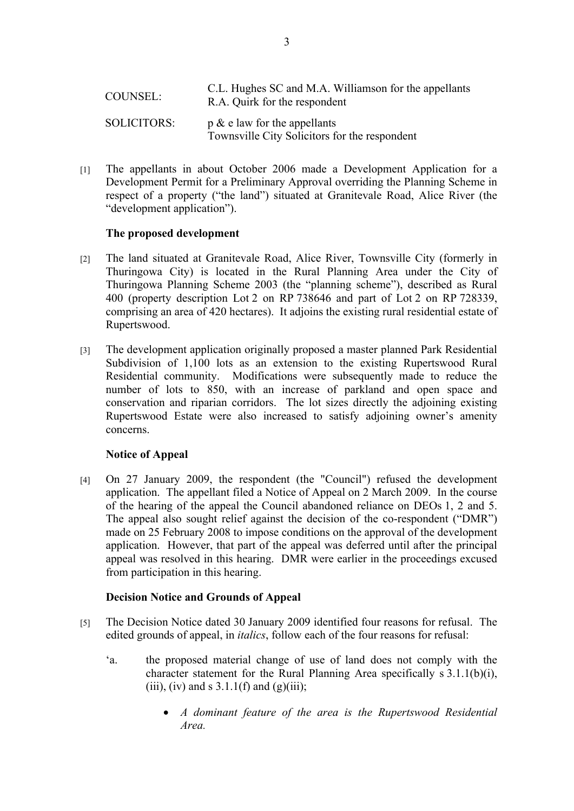| COUNSEL:           | C.L. Hughes SC and M.A. Williamson for the appellants<br>R.A. Quirk for the respondent |
|--------------------|----------------------------------------------------------------------------------------|
| <b>SOLICITORS:</b> | $p \& e$ law for the appellants<br>Townsville City Solicitors for the respondent       |

[1] The appellants in about October 2006 made a Development Application for a Development Permit for a Preliminary Approval overriding the Planning Scheme in respect of a property ("the land") situated at Granitevale Road, Alice River (the "development application").

## **The proposed development**

- [2] The land situated at Granitevale Road, Alice River, Townsville City (formerly in Thuringowa City) is located in the Rural Planning Area under the City of Thuringowa Planning Scheme 2003 (the "planning scheme"), described as Rural 400 (property description Lot 2 on RP 738646 and part of Lot 2 on RP 728339, comprising an area of 420 hectares). It adjoins the existing rural residential estate of Rupertswood.
- [3] The development application originally proposed a master planned Park Residential Subdivision of 1,100 lots as an extension to the existing Rupertswood Rural Residential community. Modifications were subsequently made to reduce the number of lots to 850, with an increase of parkland and open space and conservation and riparian corridors. The lot sizes directly the adjoining existing Rupertswood Estate were also increased to satisfy adjoining owner's amenity concerns.

# **Notice of Appeal**

[4] On 27 January 2009, the respondent (the "Council") refused the development application. The appellant filed a Notice of Appeal on 2 March 2009. In the course of the hearing of the appeal the Council abandoned reliance on DEOs 1, 2 and 5. The appeal also sought relief against the decision of the co-respondent ("DMR") made on 25 February 2008 to impose conditions on the approval of the development application. However, that part of the appeal was deferred until after the principal appeal was resolved in this hearing. DMR were earlier in the proceedings excused from participation in this hearing.

# **Decision Notice and Grounds of Appeal**

- [5] The Decision Notice dated 30 January 2009 identified four reasons for refusal. The edited grounds of appeal, in *italics*, follow each of the four reasons for refusal:
	- 'a. the proposed material change of use of land does not comply with the character statement for the Rural Planning Area specifically s 3.1.1(b)(i), (iii), (iv) and s  $3.1.1(f)$  and (g)(iii);
		- *A dominant feature of the area is the Rupertswood Residential Area.*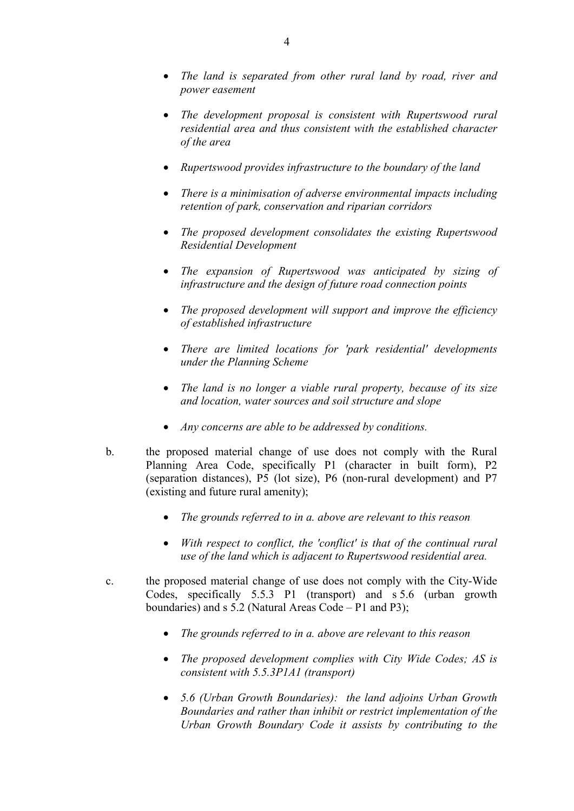- *The land is separated from other rural land by road, river and power easement*
- *The development proposal is consistent with Rupertswood rural residential area and thus consistent with the established character of the area*
- *Rupertswood provides infrastructure to the boundary of the land*
- *There is a minimisation of adverse environmental impacts including retention of park, conservation and riparian corridors*
- *The proposed development consolidates the existing Rupertswood Residential Development*
- *The expansion of Rupertswood was anticipated by sizing of infrastructure and the design of future road connection points*
- *The proposed development will support and improve the efficiency of established infrastructure*
- *There are limited locations for 'park residential' developments under the Planning Scheme*
- *The land is no longer a viable rural property, because of its size and location, water sources and soil structure and slope*
- *Any concerns are able to be addressed by conditions.*
- b. the proposed material change of use does not comply with the Rural Planning Area Code, specifically P1 (character in built form), P2 (separation distances), P5 (lot size), P6 (non-rural development) and P7 (existing and future rural amenity);
	- *The grounds referred to in a. above are relevant to this reason*
	- *With respect to conflict, the 'conflict' is that of the continual rural use of the land which is adjacent to Rupertswood residential area.*
- c. the proposed material change of use does not comply with the City-Wide Codes, specifically 5.5.3 P1 (transport) and s 5.6 (urban growth boundaries) and s 5.2 (Natural Areas Code – P1 and P3);
	- *The grounds referred to in a. above are relevant to this reason*
	- *The proposed development complies with City Wide Codes; AS is consistent with 5.5.3P1A1 (transport)*
	- *5.6 (Urban Growth Boundaries): the land adjoins Urban Growth Boundaries and rather than inhibit or restrict implementation of the Urban Growth Boundary Code it assists by contributing to the*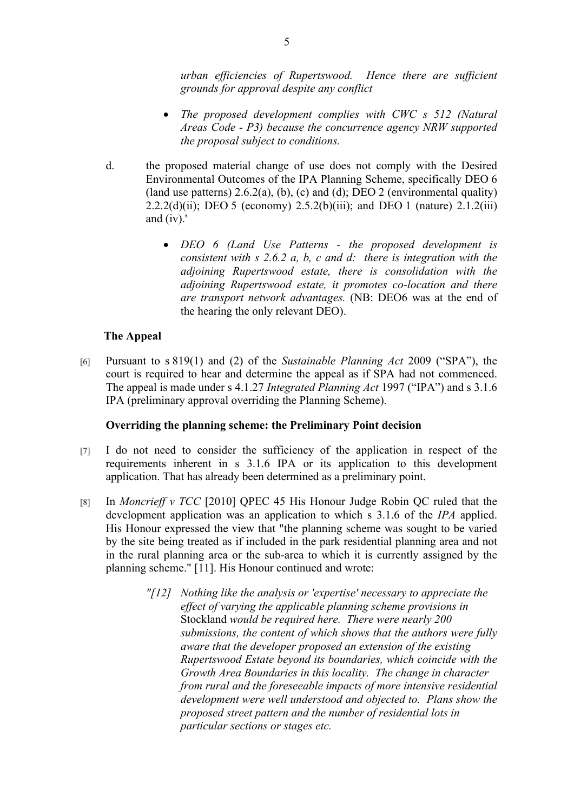*urban efficiencies of Rupertswood. Hence there are sufficient grounds for approval despite any conflict*

- *The proposed development complies with CWC s 512 (Natural Areas Code - P3) because the concurrence agency NRW supported the proposal subject to conditions.*
- d. the proposed material change of use does not comply with the Desired Environmental Outcomes of the IPA Planning Scheme, specifically DEO 6 (land use patterns)  $2.6.2(a)$ , (b), (c) and (d); DEO 2 (environmental quality) 2.2.2(d)(ii); DEO 5 (economy) 2.5.2(b)(iii); and DEO 1 (nature) 2.1.2(iii) and (iv).'
	- *DEO 6 (Land Use Patterns the proposed development is consistent with s 2.6.2 a, b, c and d: there is integration with the adjoining Rupertswood estate, there is consolidation with the adjoining Rupertswood estate, it promotes co-location and there are transport network advantages.* (NB: DEO6 was at the end of the hearing the only relevant DEO).

## **The Appeal**

[6] Pursuant to s 819(1) and (2) of the *Sustainable Planning Act* 2009 ("SPA"), the court is required to hear and determine the appeal as if SPA had not commenced. The appeal is made under s 4.1.27 *Integrated Planning Act* 1997 ("IPA") and s 3.1.6 IPA (preliminary approval overriding the Planning Scheme).

## **Overriding the planning scheme: the Preliminary Point decision**

- [7] I do not need to consider the sufficiency of the application in respect of the requirements inherent in s 3.1.6 IPA or its application to this development application. That has already been determined as a preliminary point.
- [8] In *Moncrieff v TCC* [2010] QPEC 45 His Honour Judge Robin QC ruled that the development application was an application to which s 3.1.6 of the *IPA* applied. His Honour expressed the view that "the planning scheme was sought to be varied by the site being treated as if included in the park residential planning area and not in the rural planning area or the sub-area to which it is currently assigned by the planning scheme." [11]. His Honour continued and wrote:
	- *"[12] Nothing like the analysis or 'expertise' necessary to appreciate the effect of varying the applicable planning scheme provisions in*  Stockland *would be required here. There were nearly 200 submissions, the content of which shows that the authors were fully aware that the developer proposed an extension of the existing Rupertswood Estate beyond its boundaries, which coincide with the Growth Area Boundaries in this locality. The change in character from rural and the foreseeable impacts of more intensive residential development were well understood and objected to. Plans show the proposed street pattern and the number of residential lots in particular sections or stages etc.*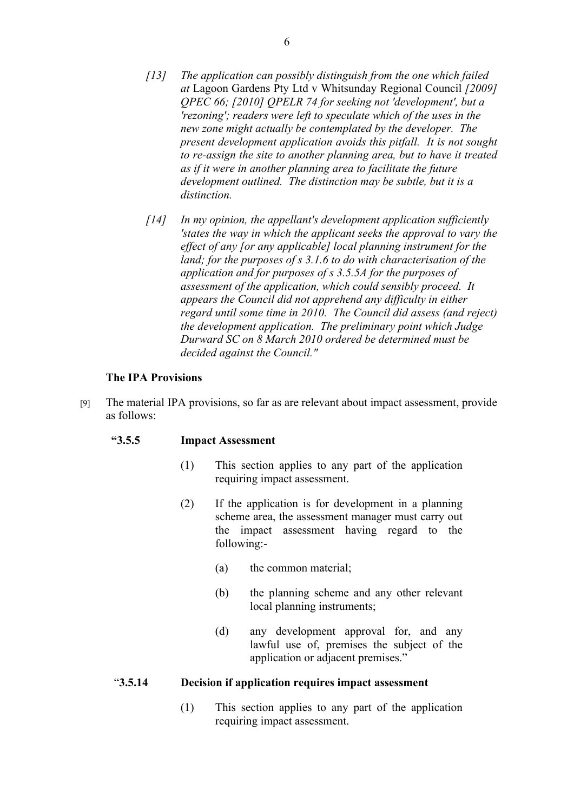- *[13] The application can possibly distinguish from the one which failed at* Lagoon Gardens Pty Ltd v Whitsunday Regional Council *[2009] QPEC 66; [2010] QPELR 74 for seeking not 'development', but a 'rezoning'; readers were left to speculate which of the uses in the new zone might actually be contemplated by the developer. The present development application avoids this pitfall. It is not sought to re-assign the site to another planning area, but to have it treated as if it were in another planning area to facilitate the future development outlined. The distinction may be subtle, but it is a distinction.*
- *[14] In my opinion, the appellant's development application sufficiently 'states the way in which the applicant seeks the approval to vary the effect of any [or any applicable] local planning instrument for the land; for the purposes of s 3.1.6 to do with characterisation of the application and for purposes of s 3.5.5A for the purposes of assessment of the application, which could sensibly proceed. It appears the Council did not apprehend any difficulty in either regard until some time in 2010. The Council did assess (and reject) the development application. The preliminary point which Judge Durward SC on 8 March 2010 ordered be determined must be decided against the Council."*

## **The IPA Provisions**

[9] The material IPA provisions, so far as are relevant about impact assessment, provide as follows:

#### **"3.5.5 Impact Assessment**

- (1) This section applies to any part of the application requiring impact assessment.
- (2) If the application is for development in a planning scheme area, the assessment manager must carry out the impact assessment having regard to the following:-
	- (a) the common material;
	- (b) the planning scheme and any other relevant local planning instruments;
	- (d) any development approval for, and any lawful use of, premises the subject of the application or adjacent premises."

#### "**3.5.14 Decision if application requires impact assessment**

(1) This section applies to any part of the application requiring impact assessment.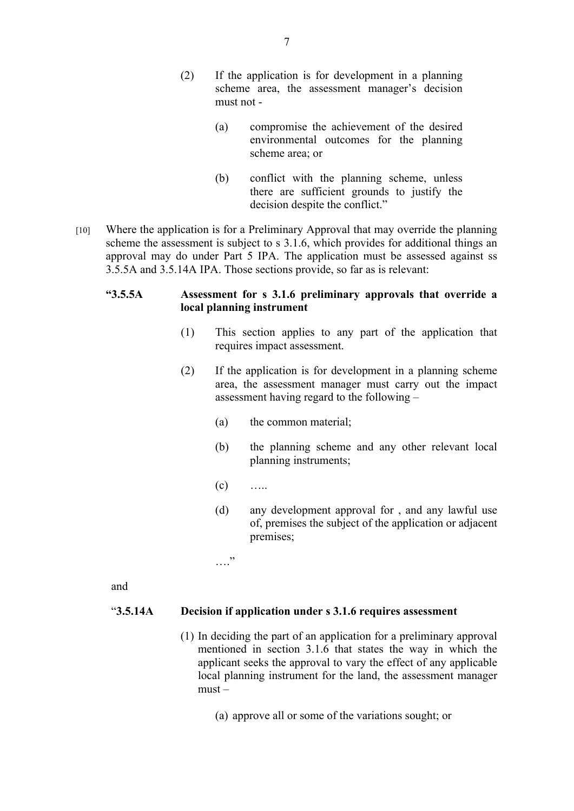- (2) If the application is for development in a planning scheme area, the assessment manager's decision must not -
	- (a) compromise the achievement of the desired environmental outcomes for the planning scheme area; or
	- (b) conflict with the planning scheme, unless there are sufficient grounds to justify the decision despite the conflict."
- [10] Where the application is for a Preliminary Approval that may override the planning scheme the assessment is subject to s 3.1.6, which provides for additional things an approval may do under Part 5 IPA. The application must be assessed against ss 3.5.5A and 3.5.14A IPA. Those sections provide, so far as is relevant:

## **"3.5.5A Assessment for s 3.1.6 preliminary approvals that override a local planning instrument**

- (1) This section applies to any part of the application that requires impact assessment.
- (2) If the application is for development in a planning scheme area, the assessment manager must carry out the impact assessment having regard to the following –
	- (a) the common material;
	- (b) the planning scheme and any other relevant local planning instruments;
	- $(c)$  …..
	- (d) any development approval for , and any lawful use of, premises the subject of the application or adjacent premises;

.. . .<br>. . . .

and

## "**3.5.14A Decision if application under s 3.1.6 requires assessment**

- (1) In deciding the part of an application for a preliminary approval mentioned in section 3.1.6 that states the way in which the applicant seeks the approval to vary the effect of any applicable local planning instrument for the land, the assessment manager  $must -$ 
	- (a) approve all or some of the variations sought; or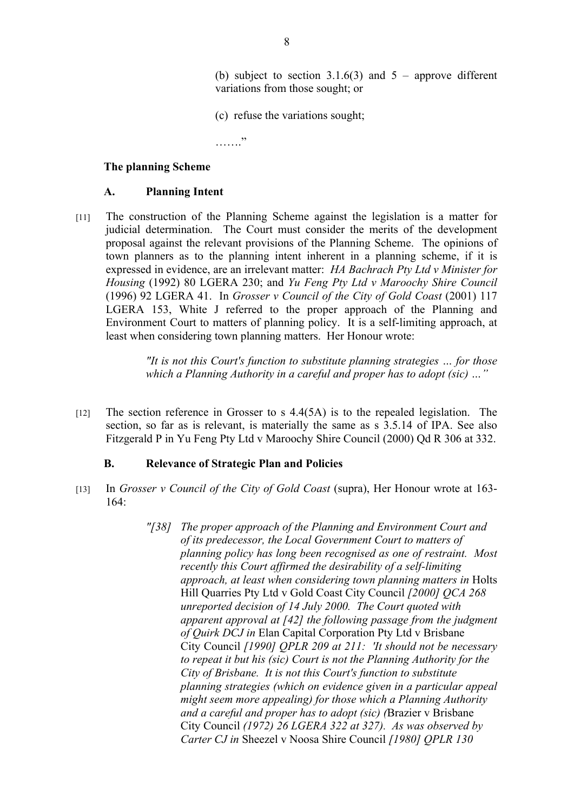(b) subject to section 3.1.6(3) and  $5$  – approve different variations from those sought; or

(c) refuse the variations sought;

…….

#### **The planning Scheme**

#### **A. Planning Intent**

[11] The construction of the Planning Scheme against the legislation is a matter for judicial determination. The Court must consider the merits of the development proposal against the relevant provisions of the Planning Scheme. The opinions of town planners as to the planning intent inherent in a planning scheme, if it is expressed in evidence, are an irrelevant matter: *HA Bachrach Pty Ltd v Minister for Housing* (1992) 80 LGERA 230; and *Yu Feng Pty Ltd v Maroochy Shire Council* (1996) 92 LGERA 41. In *Grosser v Council of the City of Gold Coast* (2001) 117 LGERA 153, White J referred to the proper approach of the Planning and Environment Court to matters of planning policy. It is a self-limiting approach, at least when considering town planning matters. Her Honour wrote:

> *"It is not this Court's function to substitute planning strategies … for those which a Planning Authority in a careful and proper has to adopt (sic) …"*

 $[12]$  The section reference in Grosser to s 4.4(5A) is to the repealed legislation. The section, so far as is relevant, is materially the same as s 3.5.14 of IPA. See also Fitzgerald P in Yu Feng Pty Ltd v Maroochy Shire Council (2000) Qd R 306 at 332.

#### **B. Relevance of Strategic Plan and Policies**

- [13] In *Grosser v Council of the City of Gold Coast* (supra), Her Honour wrote at 163- 164:
	- *"[38] The proper approach of the Planning and Environment Court and of its predecessor, the Local Government Court to matters of planning policy has long been recognised as one of restraint. Most recently this Court affirmed the desirability of a self-limiting approach, at least when considering town planning matters in* Holts Hill Quarries Pty Ltd v Gold Coast City Council *[2000] QCA 268 unreported decision of 14 July 2000. The Court quoted with apparent approval at [42] the following passage from the judgment of Quirk DCJ in* Elan Capital Corporation Pty Ltd v Brisbane City Council *[1990] QPLR 209 at 211: 'It should not be necessary to repeat it but his (sic) Court is not the Planning Authority for the City of Brisbane. It is not this Court's function to substitute planning strategies (which on evidence given in a particular appeal might seem more appealing) for those which a Planning Authority and a careful and proper has to adopt (sic) (*Brazier v Brisbane City Council *(1972) 26 LGERA 322 at 327). As was observed by Carter CJ in* Sheezel v Noosa Shire Council *[1980] QPLR 130*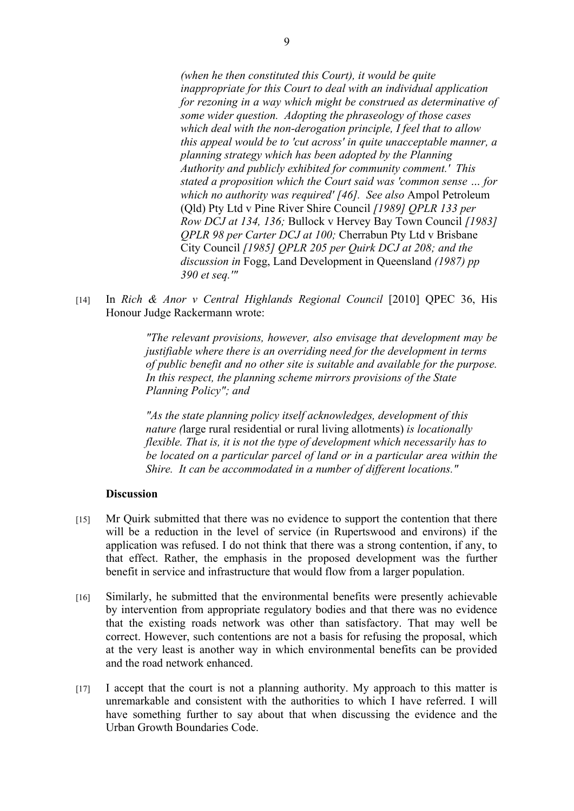*(when he then constituted this Court), it would be quite inappropriate for this Court to deal with an individual application for rezoning in a way which might be construed as determinative of some wider question. Adopting the phraseology of those cases which deal with the non-derogation principle, I feel that to allow this appeal would be to 'cut across' in quite unacceptable manner, a planning strategy which has been adopted by the Planning Authority and publicly exhibited for community comment.' This stated a proposition which the Court said was 'common sense … for which no authority was required' [46]. See also* Ampol Petroleum (Qld) Pty Ltd v Pine River Shire Council *[1989] QPLR 133 per Row DCJ at 134, 136;* Bullock v Hervey Bay Town Council *[1983] QPLR 98 per Carter DCJ at 100;* Cherrabun Pty Ltd v Brisbane City Council *[1985] QPLR 205 per Quirk DCJ at 208; and the discussion in* Fogg, Land Development in Queensland *(1987) pp 390 et seq.'"*

[14] In *Rich & Anor v Central Highlands Regional Council* [2010] QPEC 36, His Honour Judge Rackermann wrote:

> *"The relevant provisions, however, also envisage that development may be justifiable where there is an overriding need for the development in terms of public benefit and no other site is suitable and available for the purpose. In this respect, the planning scheme mirrors provisions of the State Planning Policy"; and*

> *"As the state planning policy itself acknowledges, development of this nature (*large rural residential or rural living allotments) *is locationally flexible. That is, it is not the type of development which necessarily has to be located on a particular parcel of land or in a particular area within the Shire. It can be accommodated in a number of different locations."*

#### **Discussion**

- [15] Mr Quirk submitted that there was no evidence to support the contention that there will be a reduction in the level of service (in Rupertswood and environs) if the application was refused. I do not think that there was a strong contention, if any, to that effect. Rather, the emphasis in the proposed development was the further benefit in service and infrastructure that would flow from a larger population.
- [16] Similarly, he submitted that the environmental benefits were presently achievable by intervention from appropriate regulatory bodies and that there was no evidence that the existing roads network was other than satisfactory. That may well be correct. However, such contentions are not a basis for refusing the proposal, which at the very least is another way in which environmental benefits can be provided and the road network enhanced.
- [17] I accept that the court is not a planning authority. My approach to this matter is unremarkable and consistent with the authorities to which I have referred. I will have something further to say about that when discussing the evidence and the Urban Growth Boundaries Code.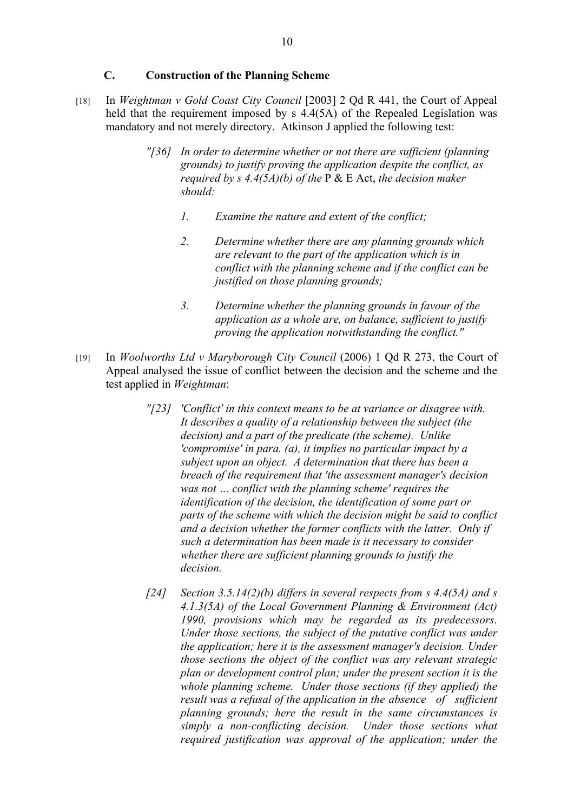# **C. Construction of the Planning Scheme**

- [18] In *Weightman v Gold Coast City Council* [2003] 2 Qd R 441, the Court of Appeal held that the requirement imposed by s 4.4(5A) of the Repealed Legislation was mandatory and not merely directory. Atkinson J applied the following test:
	- *"[36] In order to determine whether or not there are sufficient (planning grounds) to justify proving the application despite the conflict, as required by s 4.4(5A)(b) of the* P & E Act, *the decision maker should:* 
		- *1. Examine the nature and extent of the conflict;*
		- *2. Determine whether there are any planning grounds which are relevant to the part of the application which is in conflict with the planning scheme and if the conflict can be justified on those planning grounds;*
		- *3. Determine whether the planning grounds in favour of the application as a whole are, on balance, sufficient to justify proving the application notwithstanding the conflict."*
- [19] In *Woolworths Ltd v Maryborough City Council* (2006) 1 Qd R 273, the Court of Appeal analysed the issue of conflict between the decision and the scheme and the test applied in *Weightman*:
	- *"[23] 'Conflict' in this context means to be at variance or disagree with. It describes a quality of a relationship between the subject (the decision) and a part of the predicate (the scheme). Unlike 'compromise' in para. (a), it implies no particular impact by a subject upon an object. A determination that there has been a breach of the requirement that 'the assessment manager's decision was not … conflict with the planning scheme' requires the identification of the decision, the identification of some part or parts of the scheme with which the decision might be said to conflict and a decision whether the former conflicts with the latter. Only if such a determination has been made is it necessary to consider whether there are sufficient planning grounds to justify the decision.*
	- *[24] Section 3.5.14(2)(b) differs in several respects from s 4.4(5A) and s 4.1.3(5A) of the Local Government Planning & Environment (Act) 1990, provisions which may be regarded as its predecessors. Under those sections, the subject of the putative conflict was under the application; here it is the assessment manager's decision. Under those sections the object of the conflict was any relevant strategic plan or development control plan; under the present section it is the whole planning scheme. Under those sections (if they applied) the result was a refusal of the application in the absence of sufficient planning grounds; here the result in the same circumstances is simply a non-conflicting decision. Under those sections what required justification was approval of the application; under the*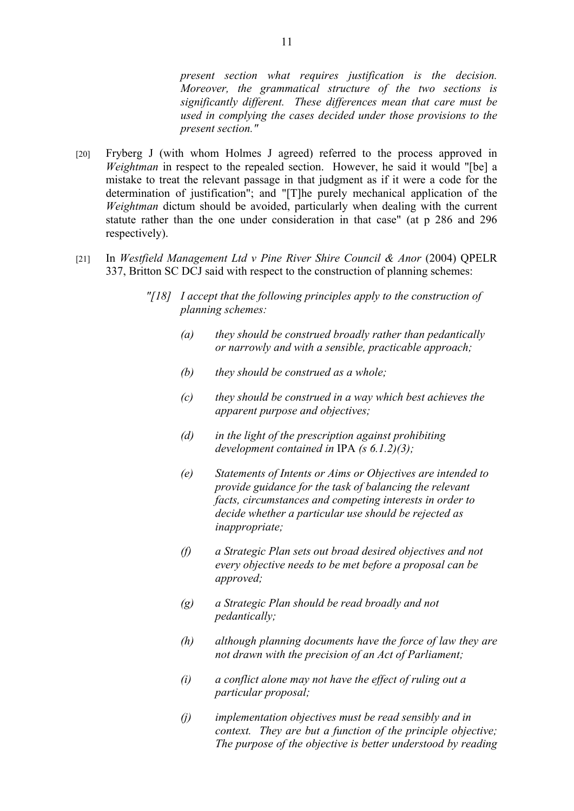*present section what requires justification is the decision. Moreover, the grammatical structure of the two sections is significantly different. These differences mean that care must be used in complying the cases decided under those provisions to the present section."*

- [20] Fryberg J (with whom Holmes J agreed) referred to the process approved in *Weightman* in respect to the repealed section. However, he said it would "[be] a mistake to treat the relevant passage in that judgment as if it were a code for the determination of justification"; and "[T]he purely mechanical application of the *Weightman* dictum should be avoided, particularly when dealing with the current statute rather than the one under consideration in that case" (at p 286 and 296 respectively).
- [21] In *Westfield Management Ltd v Pine River Shire Council & Anor* (2004) QPELR 337, Britton SC DCJ said with respect to the construction of planning schemes:
	- *"[18] I accept that the following principles apply to the construction of planning schemes:*
		- *(a) they should be construed broadly rather than pedantically or narrowly and with a sensible, practicable approach;*
		- *(b) they should be construed as a whole;*
		- *(c) they should be construed in a way which best achieves the apparent purpose and objectives;*
		- *(d) in the light of the prescription against prohibiting development contained in* IPA *(s 6.1.2)(3);*
		- *(e) Statements of Intents or Aims or Objectives are intended to provide guidance for the task of balancing the relevant facts, circumstances and competing interests in order to decide whether a particular use should be rejected as inappropriate;*
		- *(f) a Strategic Plan sets out broad desired objectives and not every objective needs to be met before a proposal can be approved;*
		- *(g) a Strategic Plan should be read broadly and not pedantically;*
		- *(h) although planning documents have the force of law they are not drawn with the precision of an Act of Parliament;*
		- *(i) a conflict alone may not have the effect of ruling out a particular proposal;*
		- *(j) implementation objectives must be read sensibly and in context. They are but a function of the principle objective; The purpose of the objective is better understood by reading*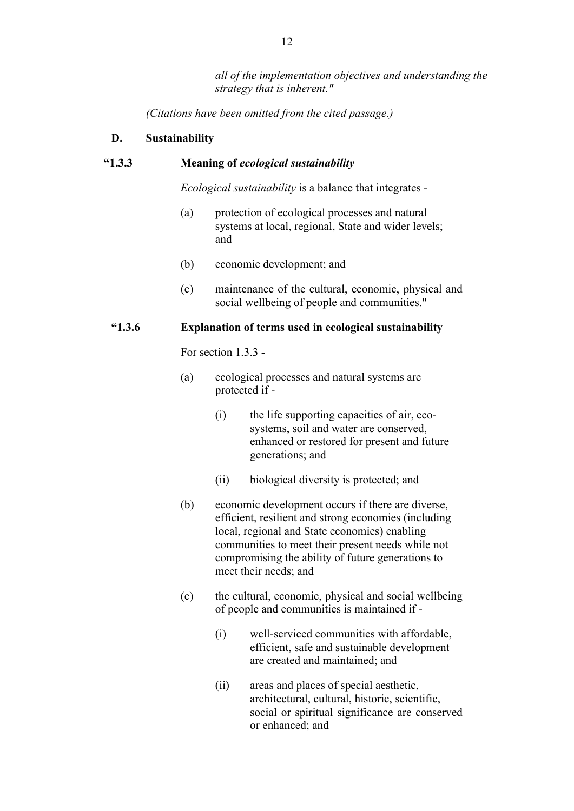*all of the implementation objectives and understanding the strategy that is inherent."*

*(Citations have been omitted from the cited passage.)* 

## **D. Sustainability**

#### **"1.3.3 Meaning of** *ecological sustainability*

*Ecological sustainability* is a balance that integrates -

- (a) protection of ecological processes and natural systems at local, regional, State and wider levels; and
- (b) economic development; and
- (c) maintenance of the cultural, economic, physical and social wellbeing of people and communities."

#### **"1.3.6 Explanation of terms used in ecological sustainability**

For section 1.3.3 -

- (a) ecological processes and natural systems are protected if -
	- (i) the life supporting capacities of air, ecosystems, soil and water are conserved, enhanced or restored for present and future generations; and
	- (ii) biological diversity is protected; and
- (b) economic development occurs if there are diverse, efficient, resilient and strong economies (including local, regional and State economies) enabling communities to meet their present needs while not compromising the ability of future generations to meet their needs; and
- (c) the cultural, economic, physical and social wellbeing of people and communities is maintained if -
	- (i) well-serviced communities with affordable, efficient, safe and sustainable development are created and maintained; and
	- (ii) areas and places of special aesthetic, architectural, cultural, historic, scientific, social or spiritual significance are conserved or enhanced; and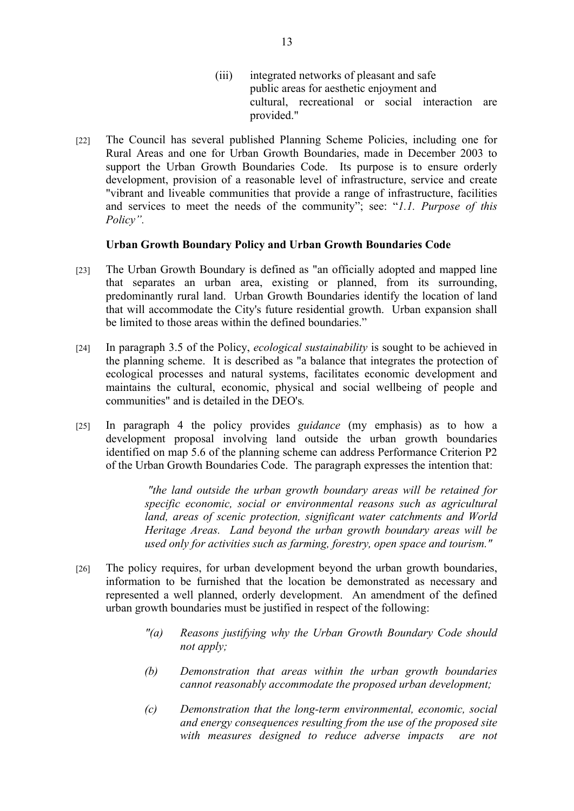- (iii) integrated networks of pleasant and safe public areas for aesthetic enjoyment and cultural, recreational or social interaction are provided."
- [22] The Council has several published Planning Scheme Policies, including one for Rural Areas and one for Urban Growth Boundaries, made in December 2003 to support the Urban Growth Boundaries Code. Its purpose is to ensure orderly development, provision of a reasonable level of infrastructure, service and create "vibrant and liveable communities that provide a range of infrastructure, facilities and services to meet the needs of the community"; see: "*1.1. Purpose of this Policy".*

#### **Urban Growth Boundary Policy and Urban Growth Boundaries Code**

- [23] The Urban Growth Boundary is defined as "an officially adopted and mapped line that separates an urban area, existing or planned, from its surrounding, predominantly rural land. Urban Growth Boundaries identify the location of land that will accommodate the City's future residential growth. Urban expansion shall be limited to those areas within the defined boundaries."
- [24] In paragraph 3.5 of the Policy, *ecological sustainability* is sought to be achieved in the planning scheme. It is described as "a balance that integrates the protection of ecological processes and natural systems, facilitates economic development and maintains the cultural, economic, physical and social wellbeing of people and communities" and is detailed in the DEO's*.*
- [25] In paragraph 4 the policy provides *guidance* (my emphasis) as to how a development proposal involving land outside the urban growth boundaries identified on map 5.6 of the planning scheme can address Performance Criterion P2 of the Urban Growth Boundaries Code. The paragraph expresses the intention that:

 *"the land outside the urban growth boundary areas will be retained for specific economic, social or environmental reasons such as agricultural land, areas of scenic protection, significant water catchments and World Heritage Areas. Land beyond the urban growth boundary areas will be used only for activities such as farming, forestry, open space and tourism."* 

- [26] The policy requires, for urban development beyond the urban growth boundaries, information to be furnished that the location be demonstrated as necessary and represented a well planned, orderly development. An amendment of the defined urban growth boundaries must be justified in respect of the following:
	- *"(a) Reasons justifying why the Urban Growth Boundary Code should not apply;*
	- *(b) Demonstration that areas within the urban growth boundaries cannot reasonably accommodate the proposed urban development;*
	- *(c) Demonstration that the long-term environmental, economic, social and energy consequences resulting from the use of the proposed site with measures designed to reduce adverse impacts are not*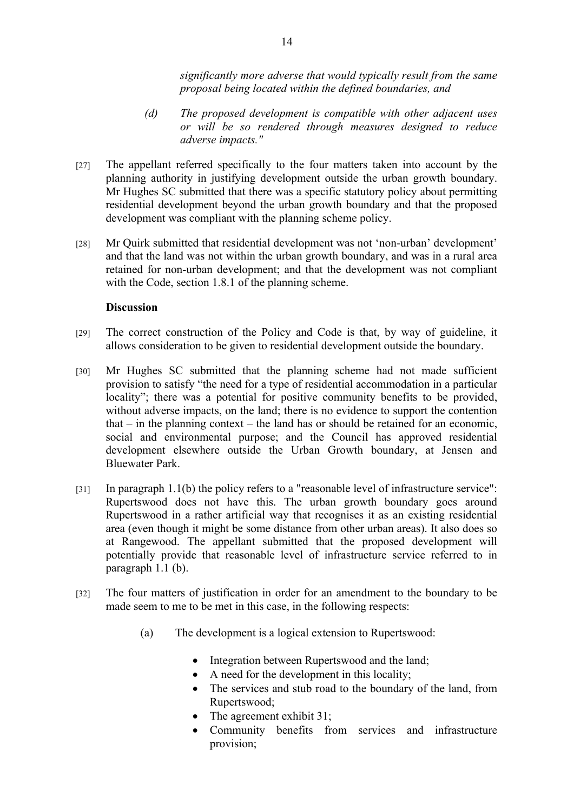*significantly more adverse that would typically result from the same proposal being located within the defined boundaries, and* 

- *(d) The proposed development is compatible with other adjacent uses or will be so rendered through measures designed to reduce adverse impacts."*
- [27] The appellant referred specifically to the four matters taken into account by the planning authority in justifying development outside the urban growth boundary. Mr Hughes SC submitted that there was a specific statutory policy about permitting residential development beyond the urban growth boundary and that the proposed development was compliant with the planning scheme policy.
- [28] Mr Quirk submitted that residential development was not 'non-urban' development' and that the land was not within the urban growth boundary, and was in a rural area retained for non-urban development; and that the development was not compliant with the Code, section 1.8.1 of the planning scheme.

#### **Discussion**

- [29] The correct construction of the Policy and Code is that, by way of guideline, it allows consideration to be given to residential development outside the boundary.
- [30] Mr Hughes SC submitted that the planning scheme had not made sufficient provision to satisfy "the need for a type of residential accommodation in a particular locality"; there was a potential for positive community benefits to be provided, without adverse impacts, on the land; there is no evidence to support the contention that  $-$  in the planning context  $-$  the land has or should be retained for an economic, social and environmental purpose; and the Council has approved residential development elsewhere outside the Urban Growth boundary, at Jensen and Bluewater Park.
- [31] In paragraph 1.1(b) the policy refers to a "reasonable level of infrastructure service": Rupertswood does not have this. The urban growth boundary goes around Rupertswood in a rather artificial way that recognises it as an existing residential area (even though it might be some distance from other urban areas). It also does so at Rangewood. The appellant submitted that the proposed development will potentially provide that reasonable level of infrastructure service referred to in paragraph 1.1 (b).
- [32] The four matters of justification in order for an amendment to the boundary to be made seem to me to be met in this case, in the following respects:
	- (a) The development is a logical extension to Rupertswood:
		- Integration between Rupertswood and the land;
		- A need for the development in this locality;
		- The services and stub road to the boundary of the land, from Rupertswood;
		- The agreement exhibit 31;
		- Community benefits from services and infrastructure provision;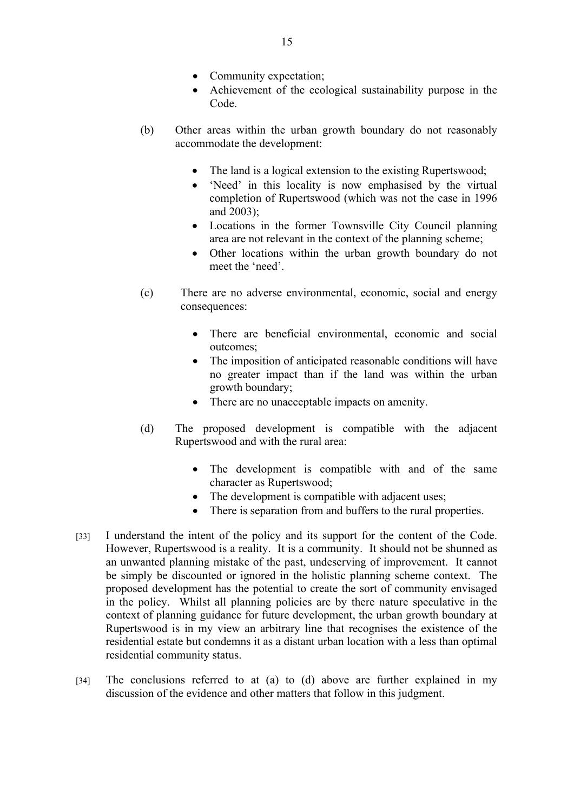- Community expectation;
- Achievement of the ecological sustainability purpose in the Code.
- (b) Other areas within the urban growth boundary do not reasonably accommodate the development:
	- The land is a logical extension to the existing Rupertswood;
	- 'Need' in this locality is now emphasised by the virtual completion of Rupertswood (which was not the case in 1996 and 2003);
	- Locations in the former Townsville City Council planning area are not relevant in the context of the planning scheme;
	- Other locations within the urban growth boundary do not meet the 'need'.
- (c) There are no adverse environmental, economic, social and energy consequences:
	- There are beneficial environmental, economic and social outcomes;
	- The imposition of anticipated reasonable conditions will have no greater impact than if the land was within the urban growth boundary;
	- There are no unacceptable impacts on amenity.
- (d) The proposed development is compatible with the adjacent Rupertswood and with the rural area:
	- The development is compatible with and of the same character as Rupertswood;
	- The development is compatible with adjacent uses;
	- There is separation from and buffers to the rural properties.
- [33] I understand the intent of the policy and its support for the content of the Code. However, Rupertswood is a reality. It is a community. It should not be shunned as an unwanted planning mistake of the past, undeserving of improvement. It cannot be simply be discounted or ignored in the holistic planning scheme context. The proposed development has the potential to create the sort of community envisaged in the policy. Whilst all planning policies are by there nature speculative in the context of planning guidance for future development, the urban growth boundary at Rupertswood is in my view an arbitrary line that recognises the existence of the residential estate but condemns it as a distant urban location with a less than optimal residential community status.
- [34] The conclusions referred to at (a) to (d) above are further explained in my discussion of the evidence and other matters that follow in this judgment.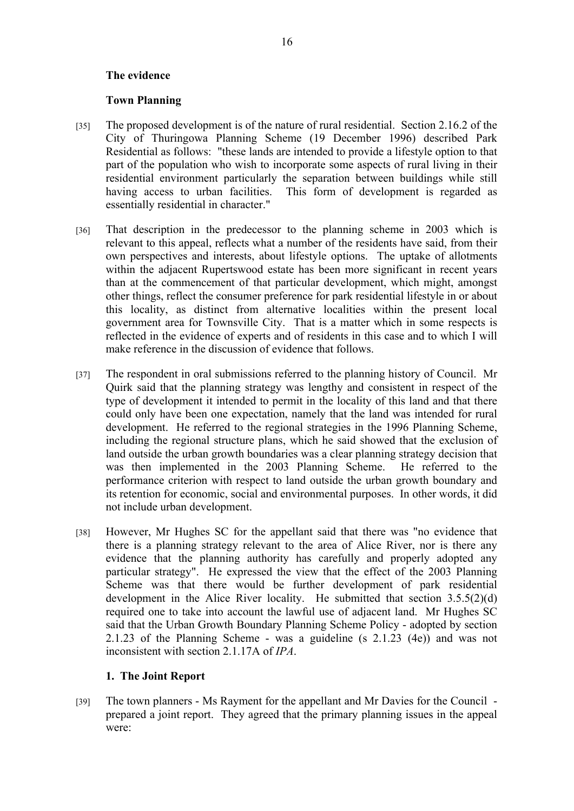#### **The evidence**

#### **Town Planning**

- [35] The proposed development is of the nature of rural residential. Section 2.16.2 of the City of Thuringowa Planning Scheme (19 December 1996) described Park Residential as follows: "these lands are intended to provide a lifestyle option to that part of the population who wish to incorporate some aspects of rural living in their residential environment particularly the separation between buildings while still having access to urban facilities. This form of development is regarded as essentially residential in character."
- [36] That description in the predecessor to the planning scheme in 2003 which is relevant to this appeal, reflects what a number of the residents have said, from their own perspectives and interests, about lifestyle options. The uptake of allotments within the adjacent Rupertswood estate has been more significant in recent years than at the commencement of that particular development, which might, amongst other things, reflect the consumer preference for park residential lifestyle in or about this locality, as distinct from alternative localities within the present local government area for Townsville City. That is a matter which in some respects is reflected in the evidence of experts and of residents in this case and to which I will make reference in the discussion of evidence that follows.
- [37] The respondent in oral submissions referred to the planning history of Council. Mr Quirk said that the planning strategy was lengthy and consistent in respect of the type of development it intended to permit in the locality of this land and that there could only have been one expectation, namely that the land was intended for rural development. He referred to the regional strategies in the 1996 Planning Scheme, including the regional structure plans, which he said showed that the exclusion of land outside the urban growth boundaries was a clear planning strategy decision that was then implemented in the 2003 Planning Scheme. He referred to the performance criterion with respect to land outside the urban growth boundary and its retention for economic, social and environmental purposes. In other words, it did not include urban development.
- [38] However, Mr Hughes SC for the appellant said that there was "no evidence that there is a planning strategy relevant to the area of Alice River, nor is there any evidence that the planning authority has carefully and properly adopted any particular strategy". He expressed the view that the effect of the 2003 Planning Scheme was that there would be further development of park residential development in the Alice River locality. He submitted that section 3.5.5(2)(d) required one to take into account the lawful use of adjacent land. Mr Hughes SC said that the Urban Growth Boundary Planning Scheme Policy - adopted by section 2.1.23 of the Planning Scheme - was a guideline (s 2.1.23 (4e)) and was not inconsistent with section 2.1.17A of *IPA*.

## **1. The Joint Report**

[39] The town planners - Ms Rayment for the appellant and Mr Davies for the Council prepared a joint report. They agreed that the primary planning issues in the appeal were: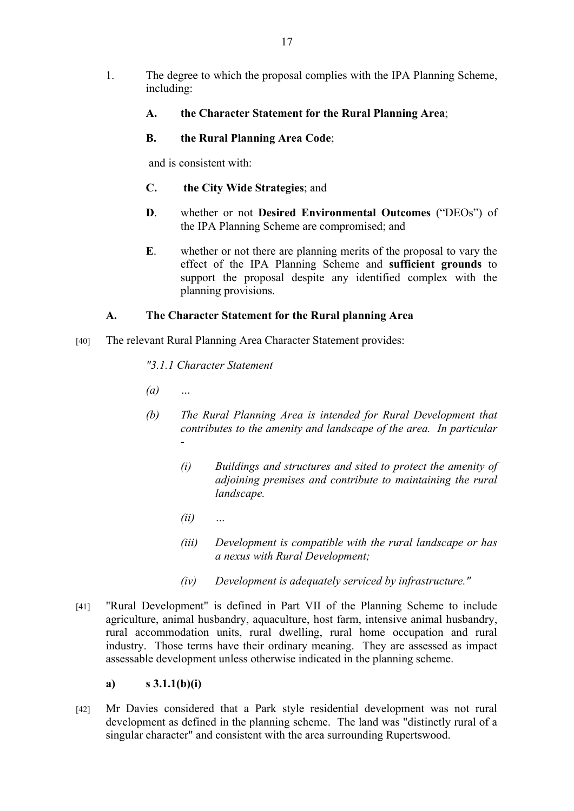- 1. The degree to which the proposal complies with the IPA Planning Scheme, including:
	- **A. the Character Statement for the Rural Planning Area**;
	- **B. the Rural Planning Area Code**;

and is consistent with:

- **C. the City Wide Strategies**; and
- **D**. whether or not **Desired Environmental Outcomes** ("DEOs") of the IPA Planning Scheme are compromised; and
- **E**. whether or not there are planning merits of the proposal to vary the effect of the IPA Planning Scheme and **sufficient grounds** to support the proposal despite any identified complex with the planning provisions.

# **A. The Character Statement for the Rural planning Area**

[40] The relevant Rural Planning Area Character Statement provides:

*"3.1.1 Character Statement*

- *(a) …*
- *(b) The Rural Planning Area is intended for Rural Development that contributes to the amenity and landscape of the area. In particular -* 
	- *(i) Buildings and structures and sited to protect the amenity of adjoining premises and contribute to maintaining the rural landscape.*
	- *(ii) …*
	- *(iii) Development is compatible with the rural landscape or has a nexus with Rural Development;*
	- *(iv) Development is adequately serviced by infrastructure."*
- [41] "Rural Development" is defined in Part VII of the Planning Scheme to include agriculture, animal husbandry, aquaculture, host farm, intensive animal husbandry, rural accommodation units, rural dwelling, rural home occupation and rural industry. Those terms have their ordinary meaning. They are assessed as impact assessable development unless otherwise indicated in the planning scheme.

## **a) s 3.1.1(b)(i)**

[42] Mr Davies considered that a Park style residential development was not rural development as defined in the planning scheme. The land was "distinctly rural of a singular character" and consistent with the area surrounding Rupertswood.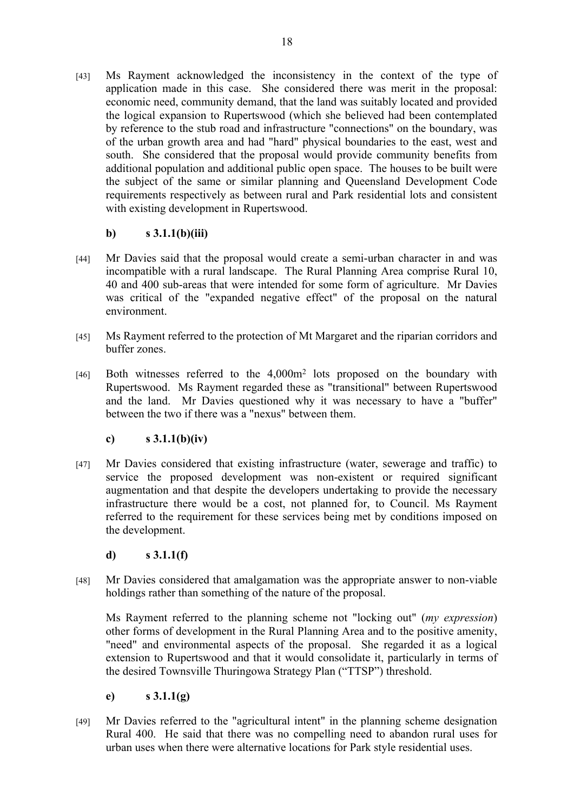[43] Ms Rayment acknowledged the inconsistency in the context of the type of application made in this case. She considered there was merit in the proposal: economic need, community demand, that the land was suitably located and provided the logical expansion to Rupertswood (which she believed had been contemplated by reference to the stub road and infrastructure "connections" on the boundary, was of the urban growth area and had "hard" physical boundaries to the east, west and south. She considered that the proposal would provide community benefits from additional population and additional public open space. The houses to be built were the subject of the same or similar planning and Queensland Development Code requirements respectively as between rural and Park residential lots and consistent with existing development in Rupertswood.

# **b) s 3.1.1(b)(iii)**

- [44] Mr Davies said that the proposal would create a semi-urban character in and was incompatible with a rural landscape. The Rural Planning Area comprise Rural 10, 40 and 400 sub-areas that were intended for some form of agriculture. Mr Davies was critical of the "expanded negative effect" of the proposal on the natural environment.
- [45] Ms Rayment referred to the protection of Mt Margaret and the riparian corridors and buffer zones.
- [46] Both witnesses referred to the 4,000m<sup>2</sup> lots proposed on the boundary with Rupertswood. Ms Rayment regarded these as "transitional" between Rupertswood and the land. Mr Davies questioned why it was necessary to have a "buffer" between the two if there was a "nexus" between them.

# **c) s 3.1.1(b)(iv)**

[47] Mr Davies considered that existing infrastructure (water, sewerage and traffic) to service the proposed development was non-existent or required significant augmentation and that despite the developers undertaking to provide the necessary infrastructure there would be a cost, not planned for, to Council. Ms Rayment referred to the requirement for these services being met by conditions imposed on the development.

# **d) s 3.1.1(f)**

[48] Mr Davies considered that amalgamation was the appropriate answer to non-viable holdings rather than something of the nature of the proposal.

Ms Rayment referred to the planning scheme not "locking out" (*my expression*) other forms of development in the Rural Planning Area and to the positive amenity, "need" and environmental aspects of the proposal. She regarded it as a logical extension to Rupertswood and that it would consolidate it, particularly in terms of the desired Townsville Thuringowa Strategy Plan ("TTSP") threshold.

## **e) s 3.1.1(g)**

[49] Mr Davies referred to the "agricultural intent" in the planning scheme designation Rural 400. He said that there was no compelling need to abandon rural uses for urban uses when there were alternative locations for Park style residential uses.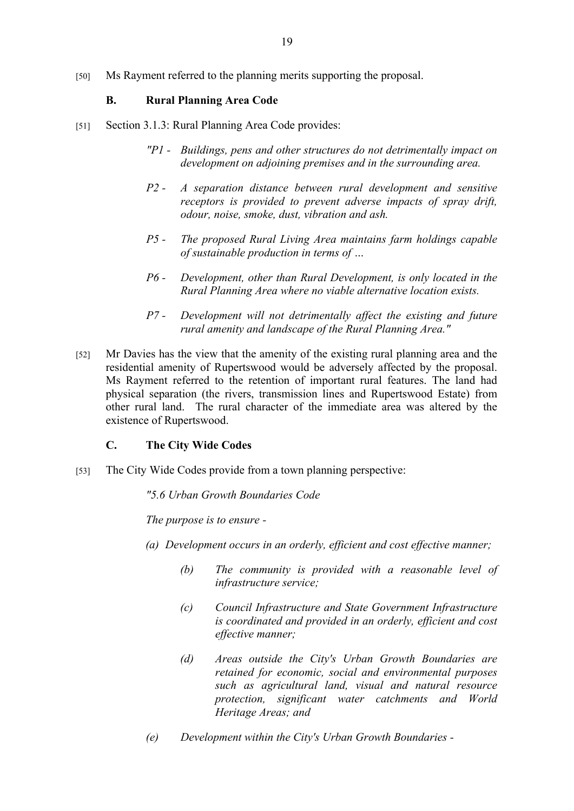[50] Ms Rayment referred to the planning merits supporting the proposal.

## **B. Rural Planning Area Code**

- [51] Section 3.1.3: Rural Planning Area Code provides:
	- *"P1 Buildings, pens and other structures do not detrimentally impact on development on adjoining premises and in the surrounding area.*
	- *P2 A separation distance between rural development and sensitive receptors is provided to prevent adverse impacts of spray drift, odour, noise, smoke, dust, vibration and ash.*
	- *P5 The proposed Rural Living Area maintains farm holdings capable of sustainable production in terms of …*
	- *P6 Development, other than Rural Development, is only located in the Rural Planning Area where no viable alternative location exists.*
	- *P7 Development will not detrimentally affect the existing and future rural amenity and landscape of the Rural Planning Area."*
- [52] Mr Davies has the view that the amenity of the existing rural planning area and the residential amenity of Rupertswood would be adversely affected by the proposal. Ms Rayment referred to the retention of important rural features. The land had physical separation (the rivers, transmission lines and Rupertswood Estate) from other rural land. The rural character of the immediate area was altered by the existence of Rupertswood.

## **C. The City Wide Codes**

[53] The City Wide Codes provide from a town planning perspective:

*"5.6 Urban Growth Boundaries Code*

*The purpose is to ensure -*

- *(a) Development occurs in an orderly, efficient and cost effective manner;* 
	- *(b) The community is provided with a reasonable level of infrastructure service;*
	- *(c) Council Infrastructure and State Government Infrastructure is coordinated and provided in an orderly, efficient and cost effective manner;*
	- *(d) Areas outside the City's Urban Growth Boundaries are retained for economic, social and environmental purposes such as agricultural land, visual and natural resource protection, significant water catchments and World Heritage Areas; and*
- *(e) Development within the City's Urban Growth Boundaries -*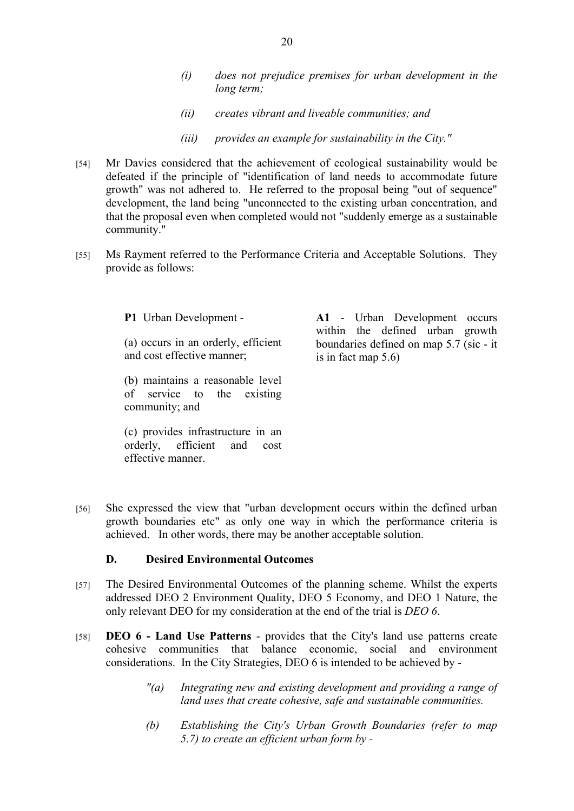- *(i) does not prejudice premises for urban development in the long term;*
- *(ii) creates vibrant and liveable communities; and*
- *(iii) provides an example for sustainability in the City."*
- [54] Mr Davies considered that the achievement of ecological sustainability would be defeated if the principle of "identification of land needs to accommodate future growth" was not adhered to. He referred to the proposal being "out of sequence" development, the land being "unconnected to the existing urban concentration, and that the proposal even when completed would not "suddenly emerge as a sustainable community."
- [55] Ms Rayment referred to the Performance Criteria and Acceptable Solutions. They provide as follows:

**P1** Urban Development -

(a) occurs in an orderly, efficient and cost effective manner;

(b) maintains a reasonable level of service to the existing community; and

(c) provides infrastructure in an orderly, efficient and cost effective manner.

**A1** - Urban Development occurs within the defined urban growth boundaries defined on map 5.7 (sic - it is in fact map 5.6)

[56] She expressed the view that "urban development occurs within the defined urban growth boundaries etc" as only one way in which the performance criteria is achieved. In other words, there may be another acceptable solution.

## **D. Desired Environmental Outcomes**

- [57] The Desired Environmental Outcomes of the planning scheme. Whilst the experts addressed DEO 2 Environment Quality, DEO 5 Economy, and DEO 1 Nature, the only relevant DEO for my consideration at the end of the trial is *DEO 6*.
- [58] **DEO 6 Land Use Patterns** provides that the City's land use patterns create cohesive communities that balance economic, social and environment considerations. In the City Strategies, DEO 6 is intended to be achieved by -
	- *"(a) Integrating new and existing development and providing a range of land uses that create cohesive, safe and sustainable communities.*
	- *(b) Establishing the City's Urban Growth Boundaries (refer to map 5.7) to create an efficient urban form by -*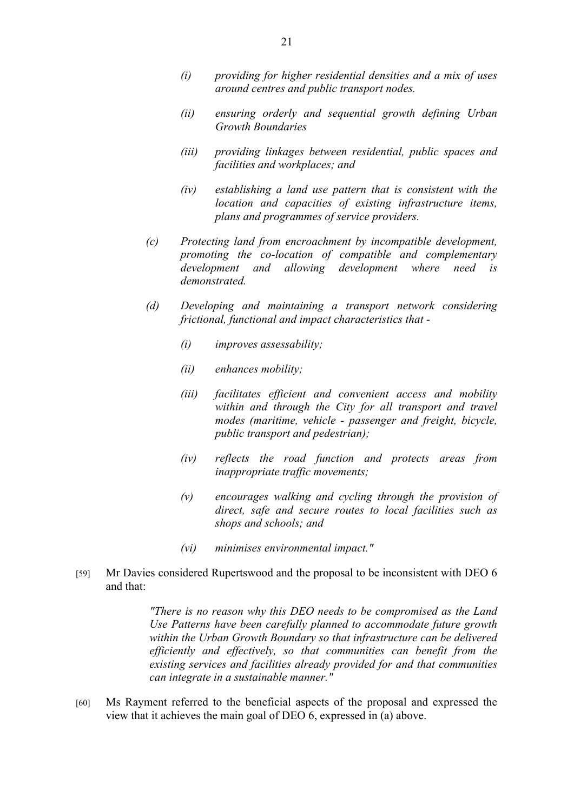- *(i) providing for higher residential densities and a mix of uses around centres and public transport nodes.*
- *(ii) ensuring orderly and sequential growth defining Urban Growth Boundaries*
- *(iii) providing linkages between residential, public spaces and facilities and workplaces; and*
- *(iv) establishing a land use pattern that is consistent with the location and capacities of existing infrastructure items, plans and programmes of service providers.*
- *(c) Protecting land from encroachment by incompatible development, promoting the co-location of compatible and complementary development and allowing development where need is demonstrated.*
- *(d) Developing and maintaining a transport network considering frictional, functional and impact characteristics that -*
	- *(i) improves assessability;*
	- *(ii) enhances mobility;*
	- *(iii) facilitates efficient and convenient access and mobility within and through the City for all transport and travel modes (maritime, vehicle - passenger and freight, bicycle, public transport and pedestrian);*
	- *(iv) reflects the road function and protects areas from inappropriate traffic movements;*
	- *(v) encourages walking and cycling through the provision of direct, safe and secure routes to local facilities such as shops and schools; and*
	- *(vi) minimises environmental impact."*
- [59] Mr Davies considered Rupertswood and the proposal to be inconsistent with DEO 6 and that:

*"There is no reason why this DEO needs to be compromised as the Land Use Patterns have been carefully planned to accommodate future growth within the Urban Growth Boundary so that infrastructure can be delivered efficiently and effectively, so that communities can benefit from the existing services and facilities already provided for and that communities can integrate in a sustainable manner."*

[60] Ms Rayment referred to the beneficial aspects of the proposal and expressed the view that it achieves the main goal of DEO 6, expressed in (a) above.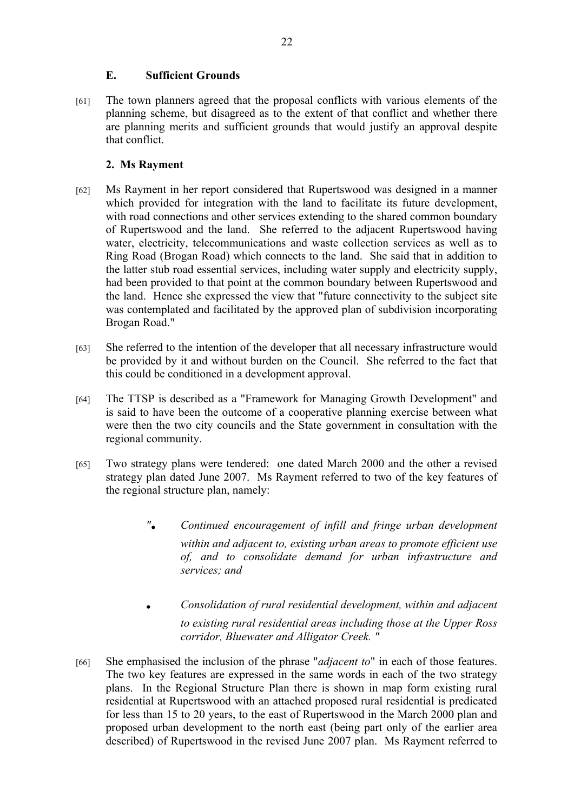## **E. Sufficient Grounds**

[61] The town planners agreed that the proposal conflicts with various elements of the planning scheme, but disagreed as to the extent of that conflict and whether there are planning merits and sufficient grounds that would justify an approval despite that conflict.

# **2. Ms Rayment**

- [62] Ms Rayment in her report considered that Rupertswood was designed in a manner which provided for integration with the land to facilitate its future development, with road connections and other services extending to the shared common boundary of Rupertswood and the land. She referred to the adjacent Rupertswood having water, electricity, telecommunications and waste collection services as well as to Ring Road (Brogan Road) which connects to the land. She said that in addition to the latter stub road essential services, including water supply and electricity supply, had been provided to that point at the common boundary between Rupertswood and the land. Hence she expressed the view that "future connectivity to the subject site was contemplated and facilitated by the approved plan of subdivision incorporating Brogan Road."
- [63] She referred to the intention of the developer that all necessary infrastructure would be provided by it and without burden on the Council. She referred to the fact that this could be conditioned in a development approval.
- [64] The TTSP is described as a "Framework for Managing Growth Development" and is said to have been the outcome of a cooperative planning exercise between what were then the two city councils and the State government in consultation with the regional community.
- [65] Two strategy plans were tendered: one dated March 2000 and the other a revised strategy plan dated June 2007. Ms Rayment referred to two of the key features of the regional structure plan, namely:
	- *". Continued encouragement of infill and fringe urban development within and adjacent to, existing urban areas to promote efficient use of, and to consolidate demand for urban infrastructure and services; and*
	- *. Consolidation of rural residential development, within and adjacent to existing rural residential areas including those at the Upper Ross corridor, Bluewater and Alligator Creek. "*
- [66] She emphasised the inclusion of the phrase "*adjacent to*" in each of those features. The two key features are expressed in the same words in each of the two strategy plans. In the Regional Structure Plan there is shown in map form existing rural residential at Rupertswood with an attached proposed rural residential is predicated for less than 15 to 20 years, to the east of Rupertswood in the March 2000 plan and proposed urban development to the north east (being part only of the earlier area described) of Rupertswood in the revised June 2007 plan. Ms Rayment referred to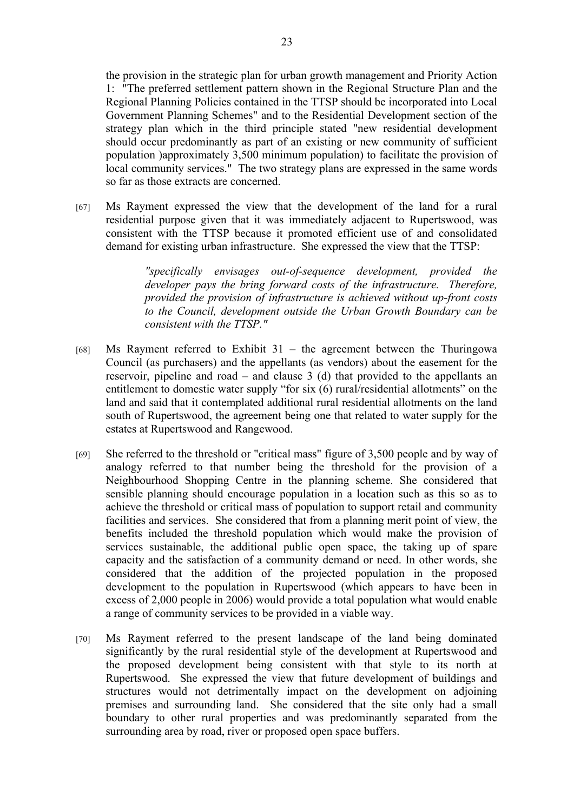the provision in the strategic plan for urban growth management and Priority Action 1: "The preferred settlement pattern shown in the Regional Structure Plan and the Regional Planning Policies contained in the TTSP should be incorporated into Local Government Planning Schemes" and to the Residential Development section of the strategy plan which in the third principle stated "new residential development should occur predominantly as part of an existing or new community of sufficient population )approximately 3,500 minimum population) to facilitate the provision of local community services." The two strategy plans are expressed in the same words so far as those extracts are concerned.

[67] Ms Rayment expressed the view that the development of the land for a rural residential purpose given that it was immediately adjacent to Rupertswood, was consistent with the TTSP because it promoted efficient use of and consolidated demand for existing urban infrastructure. She expressed the view that the TTSP:

> *"specifically envisages out-of-sequence development, provided the developer pays the bring forward costs of the infrastructure. Therefore, provided the provision of infrastructure is achieved without up-front costs to the Council, development outside the Urban Growth Boundary can be consistent with the TTSP."*

- [68] Ms Rayment referred to Exhibit  $31 -$  the agreement between the Thuringowa Council (as purchasers) and the appellants (as vendors) about the easement for the reservoir, pipeline and road – and clause 3 (d) that provided to the appellants an entitlement to domestic water supply "for six (6) rural/residential allotments" on the land and said that it contemplated additional rural residential allotments on the land south of Rupertswood, the agreement being one that related to water supply for the estates at Rupertswood and Rangewood.
- [69] She referred to the threshold or "critical mass" figure of 3,500 people and by way of analogy referred to that number being the threshold for the provision of a Neighbourhood Shopping Centre in the planning scheme. She considered that sensible planning should encourage population in a location such as this so as to achieve the threshold or critical mass of population to support retail and community facilities and services. She considered that from a planning merit point of view, the benefits included the threshold population which would make the provision of services sustainable, the additional public open space, the taking up of spare capacity and the satisfaction of a community demand or need. In other words, she considered that the addition of the projected population in the proposed development to the population in Rupertswood (which appears to have been in excess of 2,000 people in 2006) would provide a total population what would enable a range of community services to be provided in a viable way.
- [70] Ms Rayment referred to the present landscape of the land being dominated significantly by the rural residential style of the development at Rupertswood and the proposed development being consistent with that style to its north at Rupertswood. She expressed the view that future development of buildings and structures would not detrimentally impact on the development on adjoining premises and surrounding land. She considered that the site only had a small boundary to other rural properties and was predominantly separated from the surrounding area by road, river or proposed open space buffers.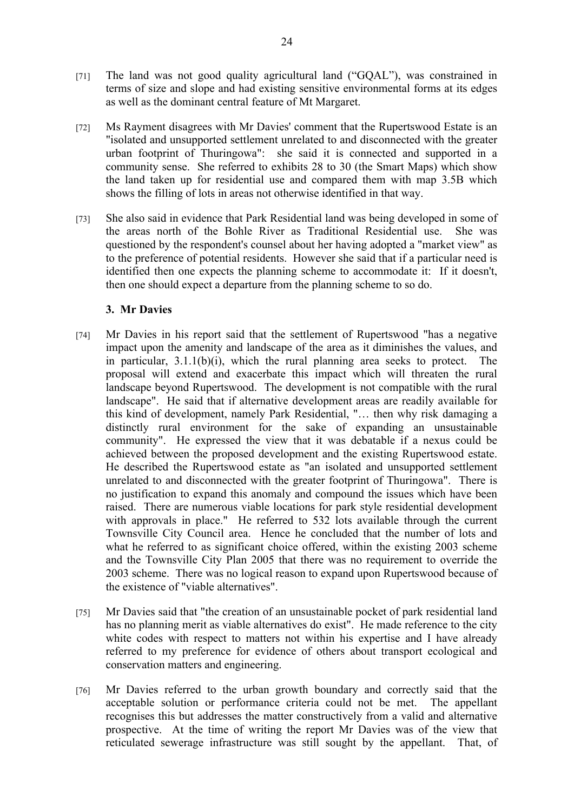- [71] The land was not good quality agricultural land ("GQAL"), was constrained in terms of size and slope and had existing sensitive environmental forms at its edges as well as the dominant central feature of Mt Margaret.
- [72] Ms Rayment disagrees with Mr Davies' comment that the Rupertswood Estate is an "isolated and unsupported settlement unrelated to and disconnected with the greater urban footprint of Thuringowa": she said it is connected and supported in a community sense. She referred to exhibits 28 to 30 (the Smart Maps) which show the land taken up for residential use and compared them with map 3.5B which shows the filling of lots in areas not otherwise identified in that way.
- [73] She also said in evidence that Park Residential land was being developed in some of the areas north of the Bohle River as Traditional Residential use. She was questioned by the respondent's counsel about her having adopted a "market view" as to the preference of potential residents. However she said that if a particular need is identified then one expects the planning scheme to accommodate it: If it doesn't, then one should expect a departure from the planning scheme to so do.

## **3. Mr Davies**

- [74] Mr Davies in his report said that the settlement of Rupertswood "has a negative impact upon the amenity and landscape of the area as it diminishes the values, and in particular, 3.1.1(b)(i), which the rural planning area seeks to protect. The proposal will extend and exacerbate this impact which will threaten the rural landscape beyond Rupertswood. The development is not compatible with the rural landscape". He said that if alternative development areas are readily available for this kind of development, namely Park Residential, "… then why risk damaging a distinctly rural environment for the sake of expanding an unsustainable community". He expressed the view that it was debatable if a nexus could be achieved between the proposed development and the existing Rupertswood estate. He described the Rupertswood estate as "an isolated and unsupported settlement unrelated to and disconnected with the greater footprint of Thuringowa". There is no justification to expand this anomaly and compound the issues which have been raised. There are numerous viable locations for park style residential development with approvals in place." He referred to 532 lots available through the current Townsville City Council area. Hence he concluded that the number of lots and what he referred to as significant choice offered, within the existing 2003 scheme and the Townsville City Plan 2005 that there was no requirement to override the 2003 scheme. There was no logical reason to expand upon Rupertswood because of the existence of "viable alternatives".
- [75] Mr Davies said that "the creation of an unsustainable pocket of park residential land has no planning merit as viable alternatives do exist". He made reference to the city white codes with respect to matters not within his expertise and I have already referred to my preference for evidence of others about transport ecological and conservation matters and engineering.
- [76] Mr Davies referred to the urban growth boundary and correctly said that the acceptable solution or performance criteria could not be met. The appellant recognises this but addresses the matter constructively from a valid and alternative prospective. At the time of writing the report Mr Davies was of the view that reticulated sewerage infrastructure was still sought by the appellant. That, of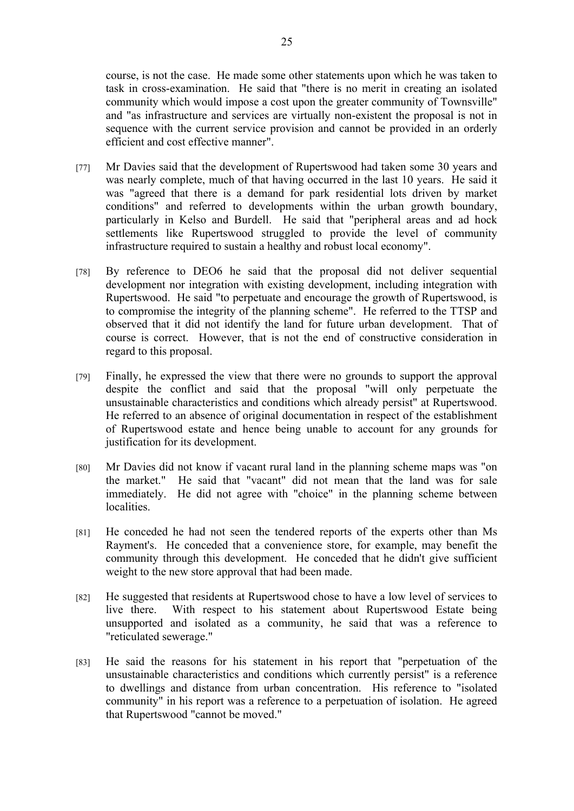course, is not the case. He made some other statements upon which he was taken to task in cross-examination. He said that "there is no merit in creating an isolated community which would impose a cost upon the greater community of Townsville" and "as infrastructure and services are virtually non-existent the proposal is not in sequence with the current service provision and cannot be provided in an orderly efficient and cost effective manner".

- [77] Mr Davies said that the development of Rupertswood had taken some 30 years and was nearly complete, much of that having occurred in the last 10 years. He said it was "agreed that there is a demand for park residential lots driven by market conditions" and referred to developments within the urban growth boundary, particularly in Kelso and Burdell. He said that "peripheral areas and ad hock settlements like Rupertswood struggled to provide the level of community infrastructure required to sustain a healthy and robust local economy".
- [78] By reference to DEO6 he said that the proposal did not deliver sequential development nor integration with existing development, including integration with Rupertswood. He said "to perpetuate and encourage the growth of Rupertswood, is to compromise the integrity of the planning scheme". He referred to the TTSP and observed that it did not identify the land for future urban development. That of course is correct. However, that is not the end of constructive consideration in regard to this proposal.
- [79] Finally, he expressed the view that there were no grounds to support the approval despite the conflict and said that the proposal "will only perpetuate the unsustainable characteristics and conditions which already persist" at Rupertswood. He referred to an absence of original documentation in respect of the establishment of Rupertswood estate and hence being unable to account for any grounds for justification for its development.
- [80] Mr Davies did not know if vacant rural land in the planning scheme maps was "on the market." He said that "vacant" did not mean that the land was for sale immediately. He did not agree with "choice" in the planning scheme between localities.
- [81] He conceded he had not seen the tendered reports of the experts other than Ms Rayment's. He conceded that a convenience store, for example, may benefit the community through this development. He conceded that he didn't give sufficient weight to the new store approval that had been made.
- [82] He suggested that residents at Rupertswood chose to have a low level of services to live there. With respect to his statement about Rupertswood Estate being unsupported and isolated as a community, he said that was a reference to "reticulated sewerage."
- [83] He said the reasons for his statement in his report that "perpetuation of the unsustainable characteristics and conditions which currently persist" is a reference to dwellings and distance from urban concentration. His reference to "isolated community" in his report was a reference to a perpetuation of isolation. He agreed that Rupertswood "cannot be moved."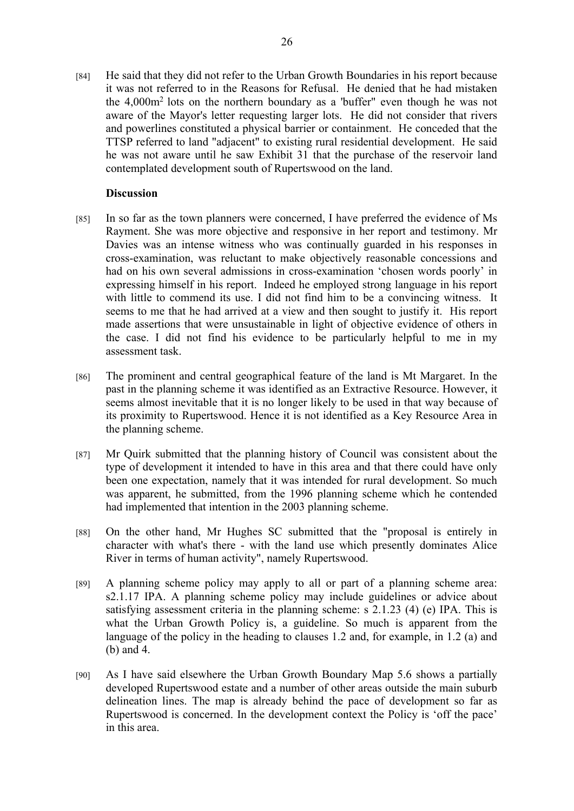[84] He said that they did not refer to the Urban Growth Boundaries in his report because it was not referred to in the Reasons for Refusal. He denied that he had mistaken the  $4.000m<sup>2</sup>$  lots on the northern boundary as a 'buffer" even though he was not aware of the Mayor's letter requesting larger lots. He did not consider that rivers and powerlines constituted a physical barrier or containment. He conceded that the TTSP referred to land "adjacent" to existing rural residential development. He said he was not aware until he saw Exhibit 31 that the purchase of the reservoir land contemplated development south of Rupertswood on the land.

#### **Discussion**

- [85] In so far as the town planners were concerned, I have preferred the evidence of Ms Rayment. She was more objective and responsive in her report and testimony. Mr Davies was an intense witness who was continually guarded in his responses in cross-examination, was reluctant to make objectively reasonable concessions and had on his own several admissions in cross-examination 'chosen words poorly' in expressing himself in his report. Indeed he employed strong language in his report with little to commend its use. I did not find him to be a convincing witness. It seems to me that he had arrived at a view and then sought to justify it. His report made assertions that were unsustainable in light of objective evidence of others in the case. I did not find his evidence to be particularly helpful to me in my assessment task.
- [86] The prominent and central geographical feature of the land is Mt Margaret. In the past in the planning scheme it was identified as an Extractive Resource. However, it seems almost inevitable that it is no longer likely to be used in that way because of its proximity to Rupertswood. Hence it is not identified as a Key Resource Area in the planning scheme.
- [87] Mr Quirk submitted that the planning history of Council was consistent about the type of development it intended to have in this area and that there could have only been one expectation, namely that it was intended for rural development. So much was apparent, he submitted, from the 1996 planning scheme which he contended had implemented that intention in the 2003 planning scheme.
- [88] On the other hand, Mr Hughes SC submitted that the "proposal is entirely in character with what's there - with the land use which presently dominates Alice River in terms of human activity", namely Rupertswood.
- [89] A planning scheme policy may apply to all or part of a planning scheme area: s2.1.17 IPA. A planning scheme policy may include guidelines or advice about satisfying assessment criteria in the planning scheme: s 2.1.23 (4) (e) IPA. This is what the Urban Growth Policy is, a guideline. So much is apparent from the language of the policy in the heading to clauses 1.2 and, for example, in 1.2 (a) and (b) and 4.
- [90] As I have said elsewhere the Urban Growth Boundary Map 5.6 shows a partially developed Rupertswood estate and a number of other areas outside the main suburb delineation lines. The map is already behind the pace of development so far as Rupertswood is concerned. In the development context the Policy is 'off the pace' in this area.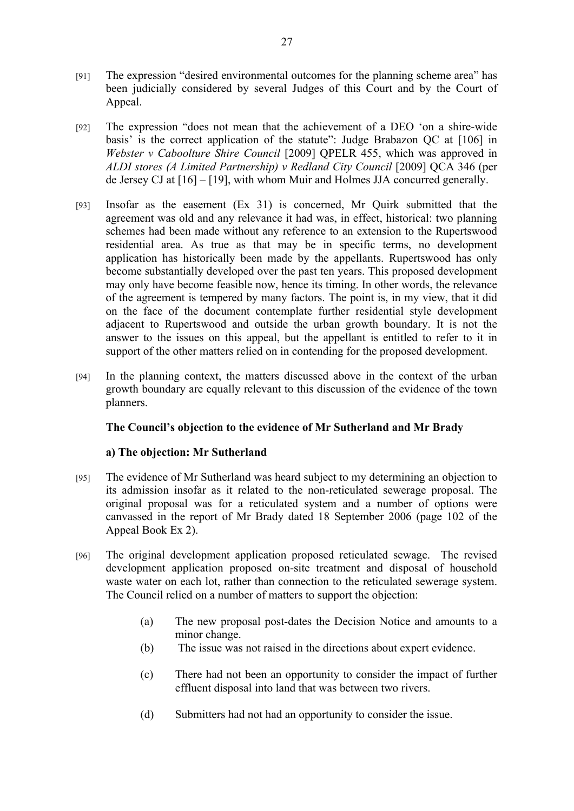- [91] The expression "desired environmental outcomes for the planning scheme area" has been judicially considered by several Judges of this Court and by the Court of Appeal.
- [92] The expression "does not mean that the achievement of a DEO 'on a shire-wide basis' is the correct application of the statute": Judge Brabazon QC at [106] in *Webster v Caboolture Shire Council* [2009] QPELR 455, which was approved in *ALDI stores (A Limited Partnership) v Redland City Council* [2009] QCA 346 (per de Jersey CJ at [16] – [19], with whom Muir and Holmes JJA concurred generally.
- [93] Insofar as the easement (Ex 31) is concerned, Mr Quirk submitted that the agreement was old and any relevance it had was, in effect, historical: two planning schemes had been made without any reference to an extension to the Rupertswood residential area. As true as that may be in specific terms, no development application has historically been made by the appellants. Rupertswood has only become substantially developed over the past ten years. This proposed development may only have become feasible now, hence its timing. In other words, the relevance of the agreement is tempered by many factors. The point is, in my view, that it did on the face of the document contemplate further residential style development adjacent to Rupertswood and outside the urban growth boundary. It is not the answer to the issues on this appeal, but the appellant is entitled to refer to it in support of the other matters relied on in contending for the proposed development.
- [94] In the planning context, the matters discussed above in the context of the urban growth boundary are equally relevant to this discussion of the evidence of the town planners.

## **The Council's objection to the evidence of Mr Sutherland and Mr Brady**

## **a) The objection: Mr Sutherland**

- [95] The evidence of Mr Sutherland was heard subject to my determining an objection to its admission insofar as it related to the non-reticulated sewerage proposal. The original proposal was for a reticulated system and a number of options were canvassed in the report of Mr Brady dated 18 September 2006 (page 102 of the Appeal Book Ex 2).
- [96] The original development application proposed reticulated sewage. The revised development application proposed on-site treatment and disposal of household waste water on each lot, rather than connection to the reticulated sewerage system. The Council relied on a number of matters to support the objection:
	- (a) The new proposal post-dates the Decision Notice and amounts to a minor change.
	- (b) The issue was not raised in the directions about expert evidence.
	- (c) There had not been an opportunity to consider the impact of further effluent disposal into land that was between two rivers.
	- (d) Submitters had not had an opportunity to consider the issue.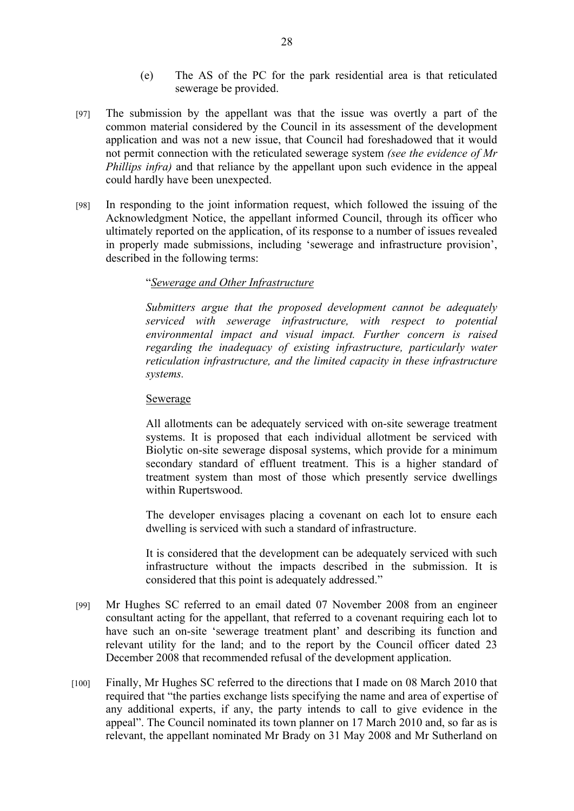- (e) The AS of the PC for the park residential area is that reticulated sewerage be provided.
- [97] The submission by the appellant was that the issue was overtly a part of the common material considered by the Council in its assessment of the development application and was not a new issue, that Council had foreshadowed that it would not permit connection with the reticulated sewerage system *(see the evidence of Mr Phillips infra)* and that reliance by the appellant upon such evidence in the appeal could hardly have been unexpected.
- [98] In responding to the joint information request, which followed the issuing of the Acknowledgment Notice, the appellant informed Council, through its officer who ultimately reported on the application, of its response to a number of issues revealed in properly made submissions, including 'sewerage and infrastructure provision', described in the following terms:

## "*Sewerage and Other Infrastructure*

*Submitters argue that the proposed development cannot be adequately serviced with sewerage infrastructure, with respect to potential environmental impact and visual impact. Further concern is raised regarding the inadequacy of existing infrastructure, particularly water reticulation infrastructure, and the limited capacity in these infrastructure systems.*

## Sewerage

All allotments can be adequately serviced with on-site sewerage treatment systems. It is proposed that each individual allotment be serviced with Biolytic on-site sewerage disposal systems, which provide for a minimum secondary standard of effluent treatment. This is a higher standard of treatment system than most of those which presently service dwellings within Rupertswood.

The developer envisages placing a covenant on each lot to ensure each dwelling is serviced with such a standard of infrastructure.

It is considered that the development can be adequately serviced with such infrastructure without the impacts described in the submission. It is considered that this point is adequately addressed."

- [99] Mr Hughes SC referred to an email dated 07 November 2008 from an engineer consultant acting for the appellant, that referred to a covenant requiring each lot to have such an on-site 'sewerage treatment plant' and describing its function and relevant utility for the land; and to the report by the Council officer dated 23 December 2008 that recommended refusal of the development application.
- [100] Finally, Mr Hughes SC referred to the directions that I made on 08 March 2010 that required that "the parties exchange lists specifying the name and area of expertise of any additional experts, if any, the party intends to call to give evidence in the appeal". The Council nominated its town planner on 17 March 2010 and, so far as is relevant, the appellant nominated Mr Brady on 31 May 2008 and Mr Sutherland on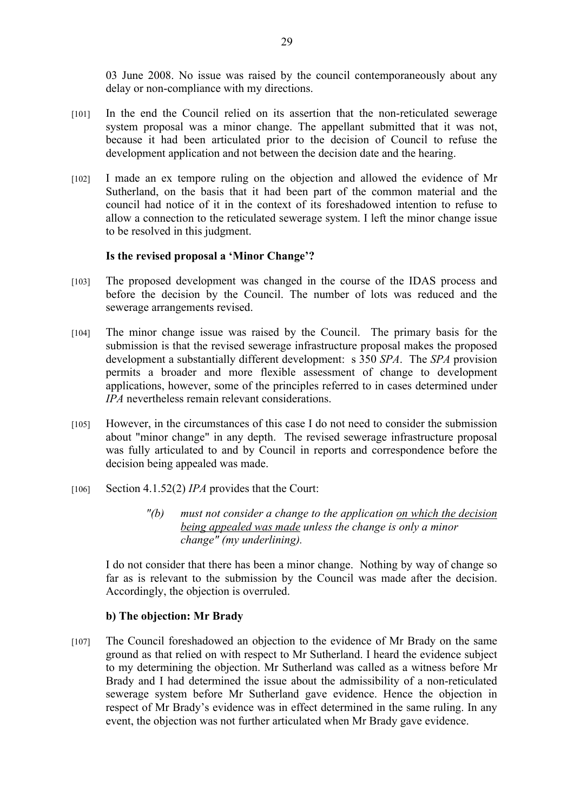03 June 2008. No issue was raised by the council contemporaneously about any delay or non-compliance with my directions.

- [101] In the end the Council relied on its assertion that the non-reticulated sewerage system proposal was a minor change. The appellant submitted that it was not, because it had been articulated prior to the decision of Council to refuse the development application and not between the decision date and the hearing.
- [102] I made an ex tempore ruling on the objection and allowed the evidence of Mr Sutherland, on the basis that it had been part of the common material and the council had notice of it in the context of its foreshadowed intention to refuse to allow a connection to the reticulated sewerage system. I left the minor change issue to be resolved in this judgment.

## **Is the revised proposal a 'Minor Change'?**

- [103] The proposed development was changed in the course of the IDAS process and before the decision by the Council. The number of lots was reduced and the sewerage arrangements revised.
- [104] The minor change issue was raised by the Council. The primary basis for the submission is that the revised sewerage infrastructure proposal makes the proposed development a substantially different development: s 350 *SPA*. The *SPA* provision permits a broader and more flexible assessment of change to development applications, however, some of the principles referred to in cases determined under *IPA* nevertheless remain relevant considerations.
- [105] However, in the circumstances of this case I do not need to consider the submission about "minor change" in any depth. The revised sewerage infrastructure proposal was fully articulated to and by Council in reports and correspondence before the decision being appealed was made.
- [106] Section 4.1.52(2) *IPA* provides that the Court:
	- *"(b) must not consider a change to the application on which the decision being appealed was made unless the change is only a minor change" (my underlining).*

I do not consider that there has been a minor change. Nothing by way of change so far as is relevant to the submission by the Council was made after the decision. Accordingly, the objection is overruled.

# **b) The objection: Mr Brady**

[107] The Council foreshadowed an objection to the evidence of Mr Brady on the same ground as that relied on with respect to Mr Sutherland. I heard the evidence subject to my determining the objection. Mr Sutherland was called as a witness before Mr Brady and I had determined the issue about the admissibility of a non-reticulated sewerage system before Mr Sutherland gave evidence. Hence the objection in respect of Mr Brady's evidence was in effect determined in the same ruling. In any event, the objection was not further articulated when Mr Brady gave evidence.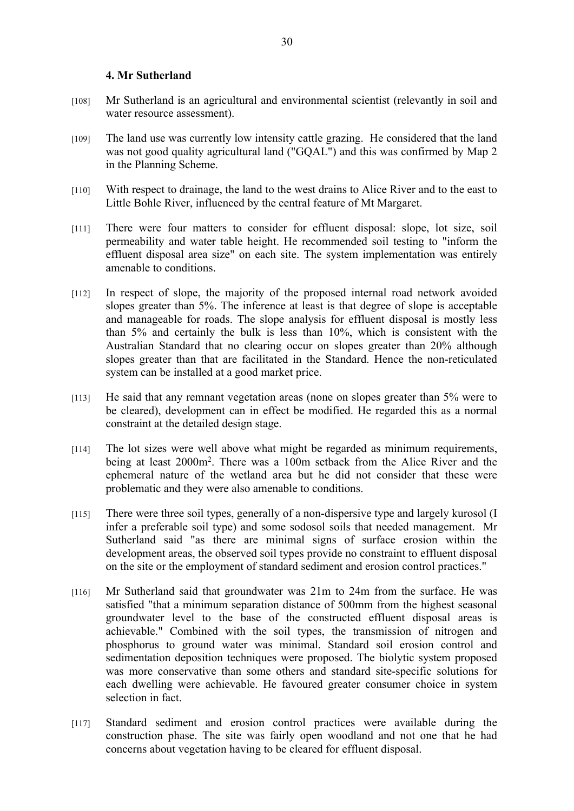#### **4. Mr Sutherland**

- [108] Mr Sutherland is an agricultural and environmental scientist (relevantly in soil and water resource assessment).
- [109] The land use was currently low intensity cattle grazing. He considered that the land was not good quality agricultural land ("GQAL") and this was confirmed by Map 2 in the Planning Scheme.
- [110] With respect to drainage, the land to the west drains to Alice River and to the east to Little Bohle River, influenced by the central feature of Mt Margaret.
- [111] There were four matters to consider for effluent disposal: slope, lot size, soil permeability and water table height. He recommended soil testing to "inform the effluent disposal area size" on each site. The system implementation was entirely amenable to conditions.
- [112] In respect of slope, the majority of the proposed internal road network avoided slopes greater than 5%. The inference at least is that degree of slope is acceptable and manageable for roads. The slope analysis for effluent disposal is mostly less than 5% and certainly the bulk is less than 10%, which is consistent with the Australian Standard that no clearing occur on slopes greater than 20% although slopes greater than that are facilitated in the Standard. Hence the non-reticulated system can be installed at a good market price.
- [113] He said that any remnant vegetation areas (none on slopes greater than 5% were to be cleared), development can in effect be modified. He regarded this as a normal constraint at the detailed design stage.
- [114] The lot sizes were well above what might be regarded as minimum requirements, being at least 2000m<sup>2</sup> . There was a 100m setback from the Alice River and the ephemeral nature of the wetland area but he did not consider that these were problematic and they were also amenable to conditions.
- [115] There were three soil types, generally of a non-dispersive type and largely kurosol (I infer a preferable soil type) and some sodosol soils that needed management. Mr Sutherland said "as there are minimal signs of surface erosion within the development areas, the observed soil types provide no constraint to effluent disposal on the site or the employment of standard sediment and erosion control practices."
- [116] Mr Sutherland said that groundwater was 21m to 24m from the surface. He was satisfied "that a minimum separation distance of 500mm from the highest seasonal groundwater level to the base of the constructed effluent disposal areas is achievable." Combined with the soil types, the transmission of nitrogen and phosphorus to ground water was minimal. Standard soil erosion control and sedimentation deposition techniques were proposed. The biolytic system proposed was more conservative than some others and standard site-specific solutions for each dwelling were achievable. He favoured greater consumer choice in system selection in fact.
- [117] Standard sediment and erosion control practices were available during the construction phase. The site was fairly open woodland and not one that he had concerns about vegetation having to be cleared for effluent disposal.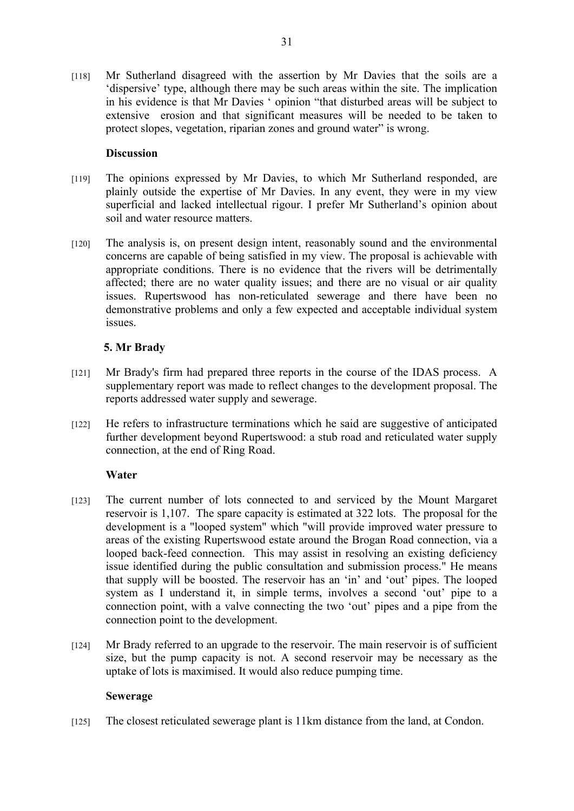[118] Mr Sutherland disagreed with the assertion by Mr Davies that the soils are a 'dispersive' type, although there may be such areas within the site. The implication in his evidence is that Mr Davies ' opinion "that disturbed areas will be subject to extensive erosion and that significant measures will be needed to be taken to protect slopes, vegetation, riparian zones and ground water" is wrong.

## **Discussion**

- [119] The opinions expressed by Mr Davies, to which Mr Sutherland responded, are plainly outside the expertise of Mr Davies. In any event, they were in my view superficial and lacked intellectual rigour. I prefer Mr Sutherland's opinion about soil and water resource matters.
- [120] The analysis is, on present design intent, reasonably sound and the environmental concerns are capable of being satisfied in my view. The proposal is achievable with appropriate conditions. There is no evidence that the rivers will be detrimentally affected; there are no water quality issues; and there are no visual or air quality issues. Rupertswood has non-reticulated sewerage and there have been no demonstrative problems and only a few expected and acceptable individual system issues.

## **5. Mr Brady**

- [121] Mr Brady's firm had prepared three reports in the course of the IDAS process. A supplementary report was made to reflect changes to the development proposal. The reports addressed water supply and sewerage.
- [122] He refers to infrastructure terminations which he said are suggestive of anticipated further development beyond Rupertswood: a stub road and reticulated water supply connection, at the end of Ring Road.

## **Water**

- [123] The current number of lots connected to and serviced by the Mount Margaret reservoir is 1,107. The spare capacity is estimated at 322 lots. The proposal for the development is a "looped system" which "will provide improved water pressure to areas of the existing Rupertswood estate around the Brogan Road connection, via a looped back-feed connection. This may assist in resolving an existing deficiency issue identified during the public consultation and submission process." He means that supply will be boosted. The reservoir has an 'in' and 'out' pipes. The looped system as I understand it, in simple terms, involves a second 'out' pipe to a connection point, with a valve connecting the two 'out' pipes and a pipe from the connection point to the development.
- [124] Mr Brady referred to an upgrade to the reservoir. The main reservoir is of sufficient size, but the pump capacity is not. A second reservoir may be necessary as the uptake of lots is maximised. It would also reduce pumping time.

## **Sewerage**

[125] The closest reticulated sewerage plant is 11km distance from the land, at Condon.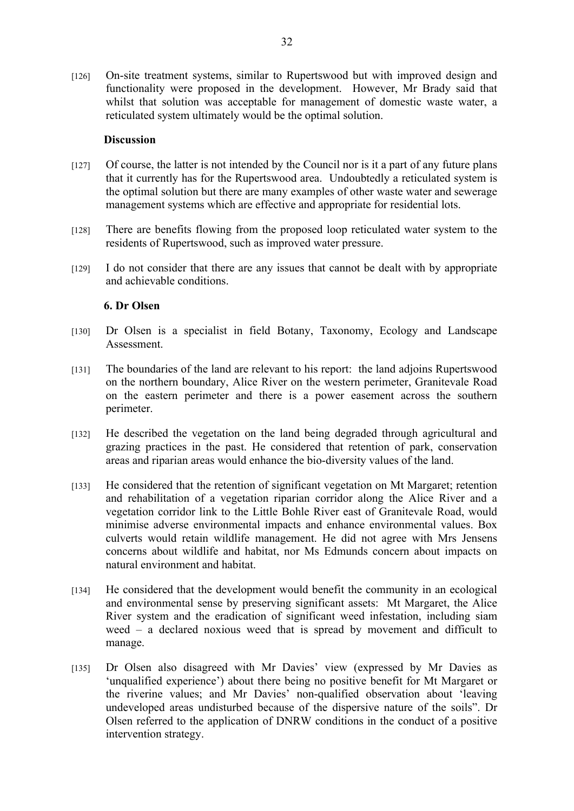[126] On-site treatment systems, similar to Rupertswood but with improved design and functionality were proposed in the development. However, Mr Brady said that whilst that solution was acceptable for management of domestic waste water, a reticulated system ultimately would be the optimal solution.

#### **Discussion**

- [127] Of course, the latter is not intended by the Council nor is it a part of any future plans that it currently has for the Rupertswood area. Undoubtedly a reticulated system is the optimal solution but there are many examples of other waste water and sewerage management systems which are effective and appropriate for residential lots.
- [128] There are benefits flowing from the proposed loop reticulated water system to the residents of Rupertswood, such as improved water pressure.
- [129] I do not consider that there are any issues that cannot be dealt with by appropriate and achievable conditions.

#### **6. Dr Olsen**

- [130] Dr Olsen is a specialist in field Botany, Taxonomy, Ecology and Landscape Assessment.
- [131] The boundaries of the land are relevant to his report: the land adjoins Rupertswood on the northern boundary, Alice River on the western perimeter, Granitevale Road on the eastern perimeter and there is a power easement across the southern perimeter.
- [132] He described the vegetation on the land being degraded through agricultural and grazing practices in the past. He considered that retention of park, conservation areas and riparian areas would enhance the bio-diversity values of the land.
- [133] He considered that the retention of significant vegetation on Mt Margaret; retention and rehabilitation of a vegetation riparian corridor along the Alice River and a vegetation corridor link to the Little Bohle River east of Granitevale Road, would minimise adverse environmental impacts and enhance environmental values. Box culverts would retain wildlife management. He did not agree with Mrs Jensens concerns about wildlife and habitat, nor Ms Edmunds concern about impacts on natural environment and habitat.
- [134] He considered that the development would benefit the community in an ecological and environmental sense by preserving significant assets: Mt Margaret, the Alice River system and the eradication of significant weed infestation, including siam weed – a declared noxious weed that is spread by movement and difficult to manage.
- [135] Dr Olsen also disagreed with Mr Davies' view (expressed by Mr Davies as 'unqualified experience') about there being no positive benefit for Mt Margaret or the riverine values; and Mr Davies' non-qualified observation about 'leaving undeveloped areas undisturbed because of the dispersive nature of the soils". Dr Olsen referred to the application of DNRW conditions in the conduct of a positive intervention strategy.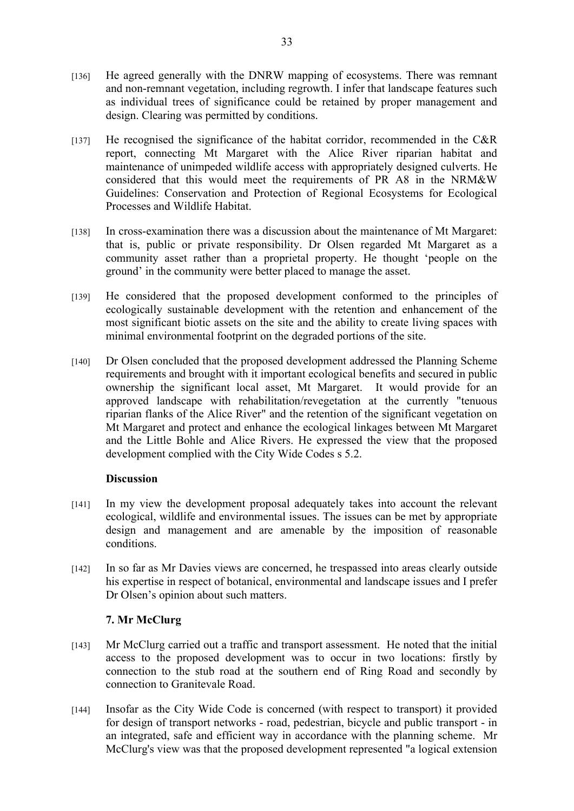- [136] He agreed generally with the DNRW mapping of ecosystems. There was remnant and non-remnant vegetation, including regrowth. I infer that landscape features such as individual trees of significance could be retained by proper management and design. Clearing was permitted by conditions.
- [137] He recognised the significance of the habitat corridor, recommended in the C&R report, connecting Mt Margaret with the Alice River riparian habitat and maintenance of unimpeded wildlife access with appropriately designed culverts. He considered that this would meet the requirements of PR A8 in the NRM&W Guidelines: Conservation and Protection of Regional Ecosystems for Ecological Processes and Wildlife Habitat.
- [138] In cross-examination there was a discussion about the maintenance of Mt Margaret: that is, public or private responsibility. Dr Olsen regarded Mt Margaret as a community asset rather than a proprietal property. He thought 'people on the ground' in the community were better placed to manage the asset.
- [139] He considered that the proposed development conformed to the principles of ecologically sustainable development with the retention and enhancement of the most significant biotic assets on the site and the ability to create living spaces with minimal environmental footprint on the degraded portions of the site.
- [140] Dr Olsen concluded that the proposed development addressed the Planning Scheme requirements and brought with it important ecological benefits and secured in public ownership the significant local asset, Mt Margaret. It would provide for an approved landscape with rehabilitation/revegetation at the currently "tenuous riparian flanks of the Alice River" and the retention of the significant vegetation on Mt Margaret and protect and enhance the ecological linkages between Mt Margaret and the Little Bohle and Alice Rivers. He expressed the view that the proposed development complied with the City Wide Codes s 5.2.

## **Discussion**

- [141] In my view the development proposal adequately takes into account the relevant ecological, wildlife and environmental issues. The issues can be met by appropriate design and management and are amenable by the imposition of reasonable conditions.
- [142] In so far as Mr Davies views are concerned, he trespassed into areas clearly outside his expertise in respect of botanical, environmental and landscape issues and I prefer Dr Olsen's opinion about such matters.

# **7. Mr McClurg**

- [143] Mr McClurg carried out a traffic and transport assessment. He noted that the initial access to the proposed development was to occur in two locations: firstly by connection to the stub road at the southern end of Ring Road and secondly by connection to Granitevale Road.
- [144] Insofar as the City Wide Code is concerned (with respect to transport) it provided for design of transport networks - road, pedestrian, bicycle and public transport - in an integrated, safe and efficient way in accordance with the planning scheme. Mr McClurg's view was that the proposed development represented "a logical extension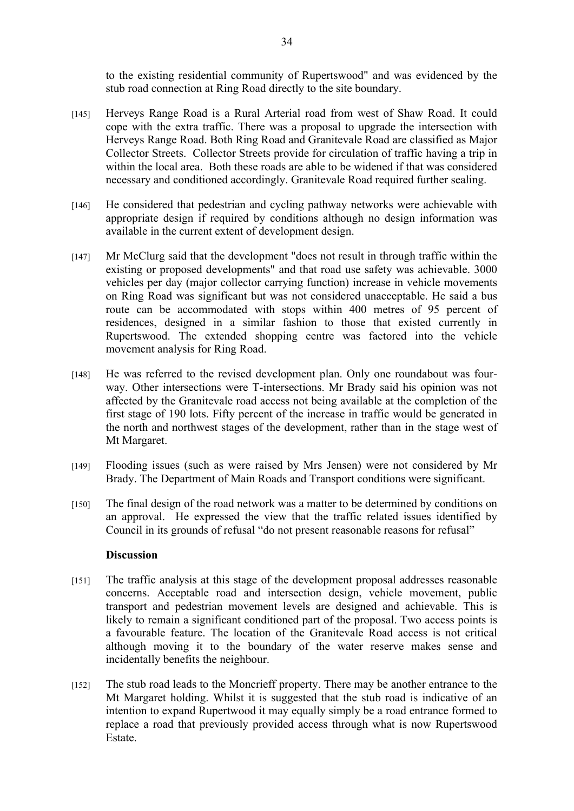to the existing residential community of Rupertswood" and was evidenced by the stub road connection at Ring Road directly to the site boundary.

- [145] Herveys Range Road is a Rural Arterial road from west of Shaw Road. It could cope with the extra traffic. There was a proposal to upgrade the intersection with Herveys Range Road. Both Ring Road and Granitevale Road are classified as Major Collector Streets. Collector Streets provide for circulation of traffic having a trip in within the local area. Both these roads are able to be widened if that was considered necessary and conditioned accordingly. Granitevale Road required further sealing.
- [146] He considered that pedestrian and cycling pathway networks were achievable with appropriate design if required by conditions although no design information was available in the current extent of development design.
- [147] Mr McClurg said that the development "does not result in through traffic within the existing or proposed developments" and that road use safety was achievable. 3000 vehicles per day (major collector carrying function) increase in vehicle movements on Ring Road was significant but was not considered unacceptable. He said a bus route can be accommodated with stops within 400 metres of 95 percent of residences, designed in a similar fashion to those that existed currently in Rupertswood. The extended shopping centre was factored into the vehicle movement analysis for Ring Road.
- [148] He was referred to the revised development plan. Only one roundabout was fourway. Other intersections were T-intersections. Mr Brady said his opinion was not affected by the Granitevale road access not being available at the completion of the first stage of 190 lots. Fifty percent of the increase in traffic would be generated in the north and northwest stages of the development, rather than in the stage west of Mt Margaret.
- [149] Flooding issues (such as were raised by Mrs Jensen) were not considered by Mr Brady. The Department of Main Roads and Transport conditions were significant.
- [150] The final design of the road network was a matter to be determined by conditions on an approval. He expressed the view that the traffic related issues identified by Council in its grounds of refusal "do not present reasonable reasons for refusal"

## **Discussion**

- [151] The traffic analysis at this stage of the development proposal addresses reasonable concerns. Acceptable road and intersection design, vehicle movement, public transport and pedestrian movement levels are designed and achievable. This is likely to remain a significant conditioned part of the proposal. Two access points is a favourable feature. The location of the Granitevale Road access is not critical although moving it to the boundary of the water reserve makes sense and incidentally benefits the neighbour.
- [152] The stub road leads to the Moncrieff property. There may be another entrance to the Mt Margaret holding. Whilst it is suggested that the stub road is indicative of an intention to expand Rupertwood it may equally simply be a road entrance formed to replace a road that previously provided access through what is now Rupertswood **Estate**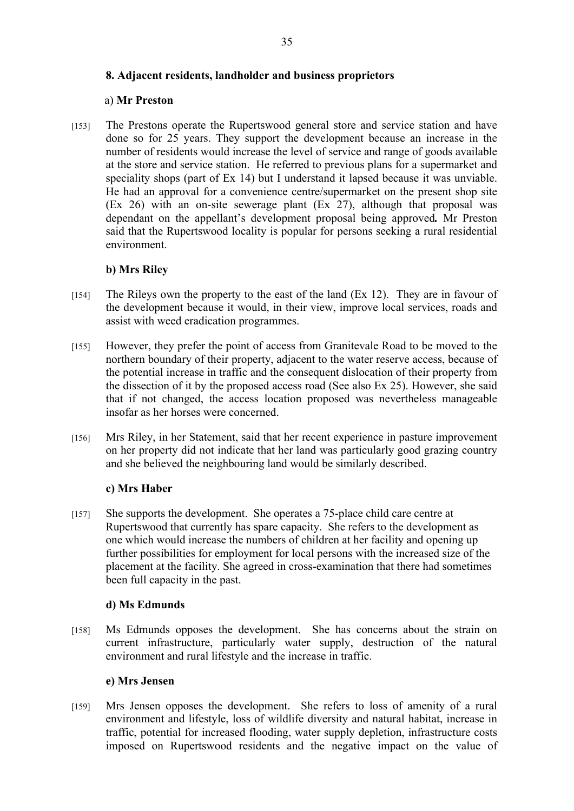## **8. Adjacent residents, landholder and business proprietors**

#### a) **Mr Preston**

[153] The Prestons operate the Rupertswood general store and service station and have done so for 25 years. They support the development because an increase in the number of residents would increase the level of service and range of goods available at the store and service station. He referred to previous plans for a supermarket and speciality shops (part of Ex 14) but I understand it lapsed because it was unviable. He had an approval for a convenience centre/supermarket on the present shop site (Ex 26) with an on-site sewerage plant (Ex 27), although that proposal was dependant on the appellant's development proposal being approved*.* Mr Preston said that the Rupertswood locality is popular for persons seeking a rural residential environment.

## **b) Mrs Riley**

- [154] The Rileys own the property to the east of the land (Ex 12). They are in favour of the development because it would, in their view, improve local services, roads and assist with weed eradication programmes.
- [155] However, they prefer the point of access from Granitevale Road to be moved to the northern boundary of their property, adjacent to the water reserve access, because of the potential increase in traffic and the consequent dislocation of their property from the dissection of it by the proposed access road (See also Ex 25). However, she said that if not changed, the access location proposed was nevertheless manageable insofar as her horses were concerned.
- [156] Mrs Riley, in her Statement, said that her recent experience in pasture improvement on her property did not indicate that her land was particularly good grazing country and she believed the neighbouring land would be similarly described.

## **c) Mrs Haber**

[157] She supports the development. She operates a 75-place child care centre at Rupertswood that currently has spare capacity. She refers to the development as one which would increase the numbers of children at her facility and opening up further possibilities for employment for local persons with the increased size of the placement at the facility. She agreed in cross-examination that there had sometimes been full capacity in the past.

## **d) Ms Edmunds**

[158] Ms Edmunds opposes the development. She has concerns about the strain on current infrastructure, particularly water supply, destruction of the natural environment and rural lifestyle and the increase in traffic.

#### **e) Mrs Jensen**

[159] Mrs Jensen opposes the development. She refers to loss of amenity of a rural environment and lifestyle, loss of wildlife diversity and natural habitat, increase in traffic, potential for increased flooding, water supply depletion, infrastructure costs imposed on Rupertswood residents and the negative impact on the value of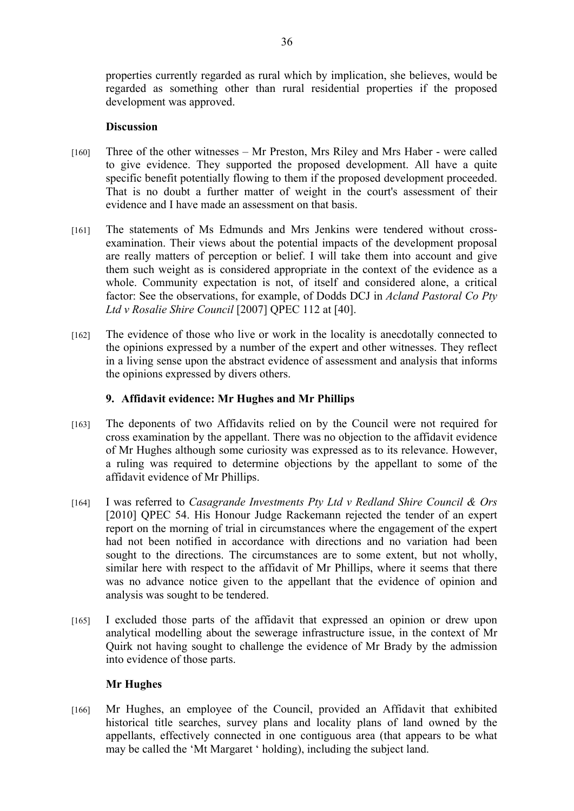properties currently regarded as rural which by implication, she believes, would be regarded as something other than rural residential properties if the proposed development was approved.

## **Discussion**

- [160] Three of the other witnesses Mr Preston, Mrs Riley and Mrs Haber were called to give evidence. They supported the proposed development. All have a quite specific benefit potentially flowing to them if the proposed development proceeded. That is no doubt a further matter of weight in the court's assessment of their evidence and I have made an assessment on that basis.
- [161] The statements of Ms Edmunds and Mrs Jenkins were tendered without crossexamination. Their views about the potential impacts of the development proposal are really matters of perception or belief. I will take them into account and give them such weight as is considered appropriate in the context of the evidence as a whole. Community expectation is not, of itself and considered alone, a critical factor: See the observations, for example, of Dodds DCJ in *Acland Pastoral Co Pty Ltd v Rosalie Shire Council* [2007] QPEC 112 at [40].
- [162] The evidence of those who live or work in the locality is anecdotally connected to the opinions expressed by a number of the expert and other witnesses. They reflect in a living sense upon the abstract evidence of assessment and analysis that informs the opinions expressed by divers others.

# **9. Affidavit evidence: Mr Hughes and Mr Phillips**

- [163] The deponents of two Affidavits relied on by the Council were not required for cross examination by the appellant. There was no objection to the affidavit evidence of Mr Hughes although some curiosity was expressed as to its relevance. However, a ruling was required to determine objections by the appellant to some of the affidavit evidence of Mr Phillips.
- [164] I was referred to *Casagrande Investments Pty Ltd v Redland Shire Council & Ors* [2010] QPEC 54. His Honour Judge Rackemann rejected the tender of an expert report on the morning of trial in circumstances where the engagement of the expert had not been notified in accordance with directions and no variation had been sought to the directions. The circumstances are to some extent, but not wholly, similar here with respect to the affidavit of Mr Phillips, where it seems that there was no advance notice given to the appellant that the evidence of opinion and analysis was sought to be tendered.
- [165] I excluded those parts of the affidavit that expressed an opinion or drew upon analytical modelling about the sewerage infrastructure issue, in the context of Mr Quirk not having sought to challenge the evidence of Mr Brady by the admission into evidence of those parts.

# **Mr Hughes**

[166] Mr Hughes, an employee of the Council, provided an Affidavit that exhibited historical title searches, survey plans and locality plans of land owned by the appellants, effectively connected in one contiguous area (that appears to be what may be called the 'Mt Margaret ' holding), including the subject land.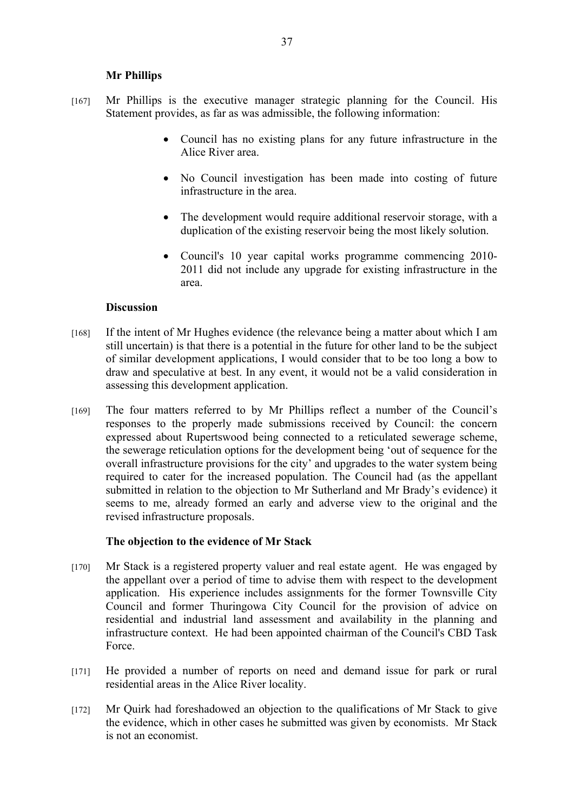## **Mr Phillips**

- [167] Mr Phillips is the executive manager strategic planning for the Council. His Statement provides, as far as was admissible, the following information:
	- Council has no existing plans for any future infrastructure in the Alice River area.
	- No Council investigation has been made into costing of future infrastructure in the area.
	- The development would require additional reservoir storage, with a duplication of the existing reservoir being the most likely solution.
	- Council's 10 year capital works programme commencing 2010- 2011 did not include any upgrade for existing infrastructure in the area.

#### **Discussion**

- [168] If the intent of Mr Hughes evidence (the relevance being a matter about which I am still uncertain) is that there is a potential in the future for other land to be the subject of similar development applications, I would consider that to be too long a bow to draw and speculative at best. In any event, it would not be a valid consideration in assessing this development application.
- [169] The four matters referred to by Mr Phillips reflect a number of the Council's responses to the properly made submissions received by Council: the concern expressed about Rupertswood being connected to a reticulated sewerage scheme, the sewerage reticulation options for the development being 'out of sequence for the overall infrastructure provisions for the city' and upgrades to the water system being required to cater for the increased population. The Council had (as the appellant submitted in relation to the objection to Mr Sutherland and Mr Brady's evidence) it seems to me, already formed an early and adverse view to the original and the revised infrastructure proposals.

## **The objection to the evidence of Mr Stack**

- [170] Mr Stack is a registered property valuer and real estate agent. He was engaged by the appellant over a period of time to advise them with respect to the development application. His experience includes assignments for the former Townsville City Council and former Thuringowa City Council for the provision of advice on residential and industrial land assessment and availability in the planning and infrastructure context. He had been appointed chairman of the Council's CBD Task Force.
- [171] He provided a number of reports on need and demand issue for park or rural residential areas in the Alice River locality.
- [172] Mr Quirk had foreshadowed an objection to the qualifications of Mr Stack to give the evidence, which in other cases he submitted was given by economists. Mr Stack is not an economist.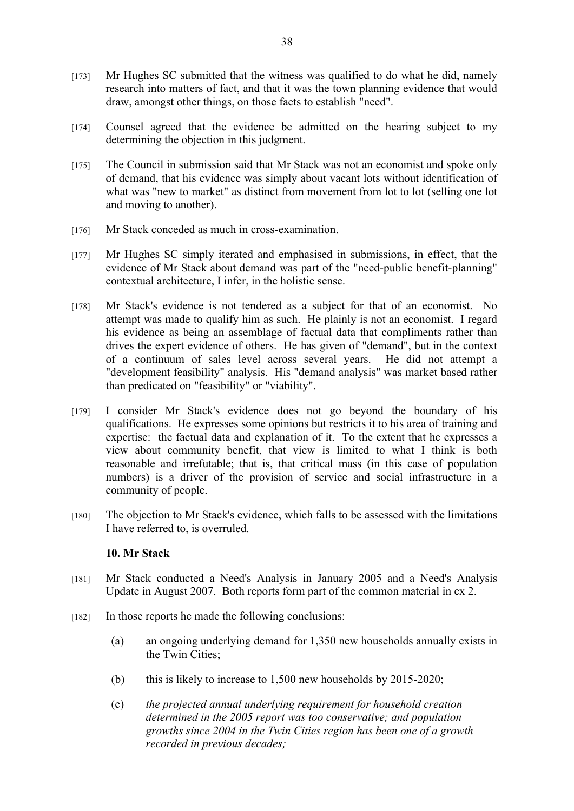- [173] Mr Hughes SC submitted that the witness was qualified to do what he did, namely research into matters of fact, and that it was the town planning evidence that would draw, amongst other things, on those facts to establish "need".
- [174] Counsel agreed that the evidence be admitted on the hearing subject to my determining the objection in this judgment.
- [175] The Council in submission said that Mr Stack was not an economist and spoke only of demand, that his evidence was simply about vacant lots without identification of what was "new to market" as distinct from movement from lot to lot (selling one lot and moving to another).
- [176] Mr Stack conceded as much in cross-examination.
- [177] Mr Hughes SC simply iterated and emphasised in submissions, in effect, that the evidence of Mr Stack about demand was part of the "need-public benefit-planning" contextual architecture, I infer, in the holistic sense.
- [178] Mr Stack's evidence is not tendered as a subject for that of an economist. No attempt was made to qualify him as such. He plainly is not an economist. I regard his evidence as being an assemblage of factual data that compliments rather than drives the expert evidence of others. He has given of "demand", but in the context of a continuum of sales level across several years. He did not attempt a "development feasibility" analysis. His "demand analysis" was market based rather than predicated on "feasibility" or "viability".
- [179] I consider Mr Stack's evidence does not go beyond the boundary of his qualifications. He expresses some opinions but restricts it to his area of training and expertise: the factual data and explanation of it. To the extent that he expresses a view about community benefit, that view is limited to what I think is both reasonable and irrefutable; that is, that critical mass (in this case of population numbers) is a driver of the provision of service and social infrastructure in a community of people.
- [180] The objection to Mr Stack's evidence, which falls to be assessed with the limitations I have referred to, is overruled.

#### **10. Mr Stack**

- [181] Mr Stack conducted a Need's Analysis in January 2005 and a Need's Analysis Update in August 2007. Both reports form part of the common material in ex 2.
- [182] In those reports he made the following conclusions:
	- (a) an ongoing underlying demand for 1,350 new households annually exists in the Twin Cities;
	- (b) this is likely to increase to 1,500 new households by 2015-2020;
	- (c) *the projected annual underlying requirement for household creation determined in the 2005 report was too conservative; and population growths since 2004 in the Twin Cities region has been one of a growth recorded in previous decades;*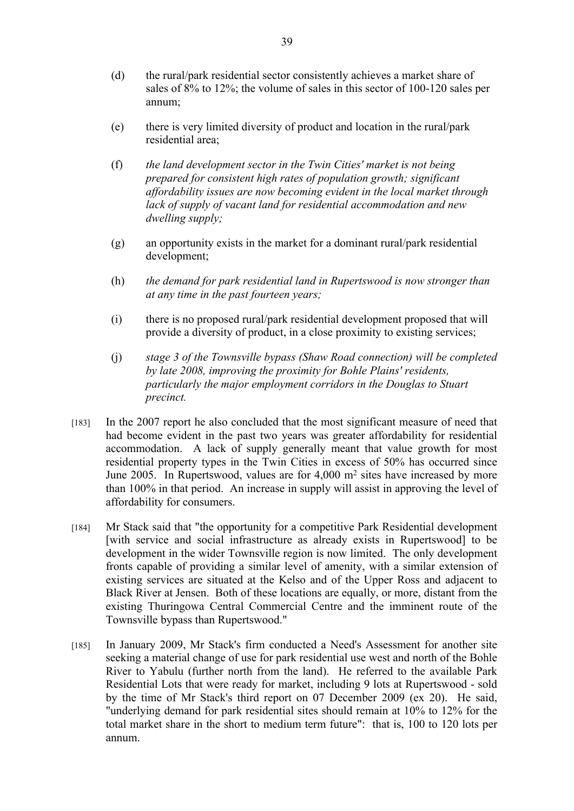- (d) the rural/park residential sector consistently achieves a market share of sales of 8% to 12%; the volume of sales in this sector of 100-120 sales per annum;
- (e) there is very limited diversity of product and location in the rural/park residential area;
- (f) *the land development sector in the Twin Cities' market is not being prepared for consistent high rates of population growth; significant affordability issues are now becoming evident in the local market through lack of supply of vacant land for residential accommodation and new dwelling supply;*
- (g) an opportunity exists in the market for a dominant rural/park residential development;
- (h) *the demand for park residential land in Rupertswood is now stronger than at any time in the past fourteen years;*
- (i) there is no proposed rural/park residential development proposed that will provide a diversity of product, in a close proximity to existing services;
- (j) *stage 3 of the Townsville bypass (Shaw Road connection) will be completed by late 2008, improving the proximity for Bohle Plains' residents, particularly the major employment corridors in the Douglas to Stuart precinct.*
- [183] In the 2007 report he also concluded that the most significant measure of need that had become evident in the past two years was greater affordability for residential accommodation. A lack of supply generally meant that value growth for most residential property types in the Twin Cities in excess of 50% has occurred since June 2005. In Rupertswood, values are for 4,000 m<sup>2</sup> sites have increased by more than 100% in that period. An increase in supply will assist in approving the level of affordability for consumers.
- [184] Mr Stack said that "the opportunity for a competitive Park Residential development [with service and social infrastructure as already exists in Rupertswood] to be development in the wider Townsville region is now limited. The only development fronts capable of providing a similar level of amenity, with a similar extension of existing services are situated at the Kelso and of the Upper Ross and adjacent to Black River at Jensen. Both of these locations are equally, or more, distant from the existing Thuringowa Central Commercial Centre and the imminent route of the Townsville bypass than Rupertswood."
- [185] In January 2009, Mr Stack's firm conducted a Need's Assessment for another site seeking a material change of use for park residential use west and north of the Bohle River to Yabulu (further north from the land). He referred to the available Park Residential Lots that were ready for market, including 9 lots at Rupertswood - sold by the time of Mr Stack's third report on 07 December 2009 (ex 20). He said, "underlying demand for park residential sites should remain at 10% to 12% for the total market share in the short to medium term future": that is, 100 to 120 lots per annum.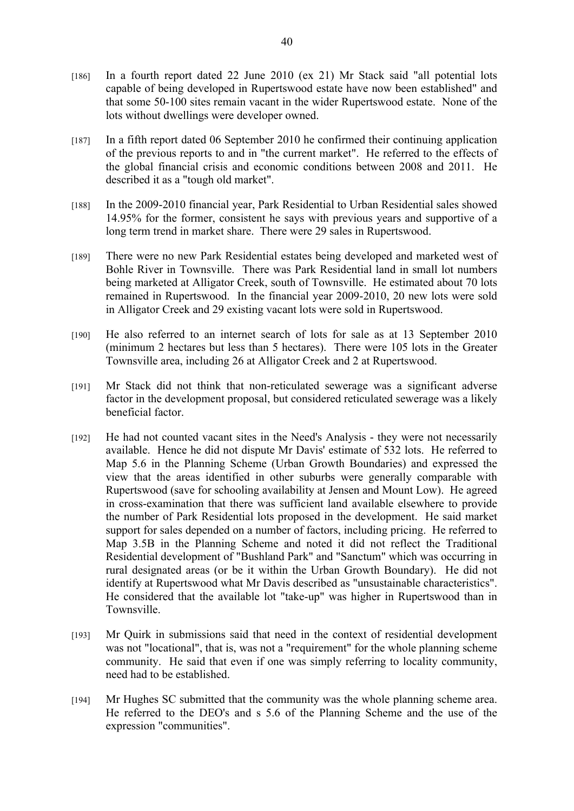- [186] In a fourth report dated 22 June 2010 (ex 21) Mr Stack said "all potential lots capable of being developed in Rupertswood estate have now been established" and that some 50-100 sites remain vacant in the wider Rupertswood estate. None of the lots without dwellings were developer owned.
- [187] In a fifth report dated 06 September 2010 he confirmed their continuing application of the previous reports to and in "the current market". He referred to the effects of the global financial crisis and economic conditions between 2008 and 2011. He described it as a "tough old market".
- [188] In the 2009-2010 financial year, Park Residential to Urban Residential sales showed 14.95% for the former, consistent he says with previous years and supportive of a long term trend in market share. There were 29 sales in Rupertswood.
- [189] There were no new Park Residential estates being developed and marketed west of Bohle River in Townsville. There was Park Residential land in small lot numbers being marketed at Alligator Creek, south of Townsville. He estimated about 70 lots remained in Rupertswood. In the financial year 2009-2010, 20 new lots were sold in Alligator Creek and 29 existing vacant lots were sold in Rupertswood.
- [190] He also referred to an internet search of lots for sale as at 13 September 2010 (minimum 2 hectares but less than 5 hectares). There were 105 lots in the Greater Townsville area, including 26 at Alligator Creek and 2 at Rupertswood.
- [191] Mr Stack did not think that non-reticulated sewerage was a significant adverse factor in the development proposal, but considered reticulated sewerage was a likely beneficial factor.
- [192] He had not counted vacant sites in the Need's Analysis they were not necessarily available. Hence he did not dispute Mr Davis' estimate of 532 lots. He referred to Map 5.6 in the Planning Scheme (Urban Growth Boundaries) and expressed the view that the areas identified in other suburbs were generally comparable with Rupertswood (save for schooling availability at Jensen and Mount Low). He agreed in cross-examination that there was sufficient land available elsewhere to provide the number of Park Residential lots proposed in the development. He said market support for sales depended on a number of factors, including pricing. He referred to Map 3.5B in the Planning Scheme and noted it did not reflect the Traditional Residential development of "Bushland Park" and "Sanctum" which was occurring in rural designated areas (or be it within the Urban Growth Boundary). He did not identify at Rupertswood what Mr Davis described as "unsustainable characteristics". He considered that the available lot "take-up" was higher in Rupertswood than in Townsville.
- [193] Mr Quirk in submissions said that need in the context of residential development was not "locational", that is, was not a "requirement" for the whole planning scheme community. He said that even if one was simply referring to locality community, need had to be established.
- [194] Mr Hughes SC submitted that the community was the whole planning scheme area. He referred to the DEO's and s 5.6 of the Planning Scheme and the use of the expression "communities".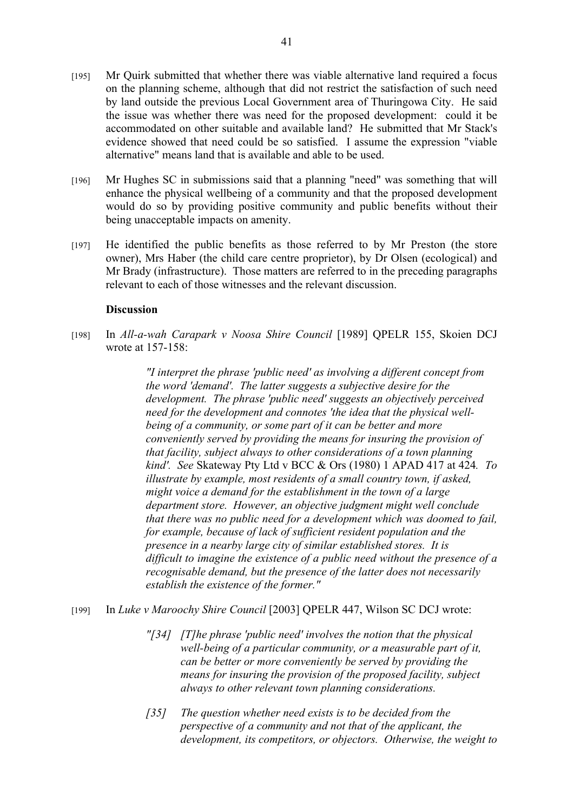- [195] Mr Quirk submitted that whether there was viable alternative land required a focus on the planning scheme, although that did not restrict the satisfaction of such need by land outside the previous Local Government area of Thuringowa City. He said the issue was whether there was need for the proposed development: could it be accommodated on other suitable and available land? He submitted that Mr Stack's evidence showed that need could be so satisfied. I assume the expression "viable alternative" means land that is available and able to be used.
- [196] Mr Hughes SC in submissions said that a planning "need" was something that will enhance the physical wellbeing of a community and that the proposed development would do so by providing positive community and public benefits without their being unacceptable impacts on amenity.
- [197] He identified the public benefits as those referred to by Mr Preston (the store owner), Mrs Haber (the child care centre proprietor), by Dr Olsen (ecological) and Mr Brady (infrastructure). Those matters are referred to in the preceding paragraphs relevant to each of those witnesses and the relevant discussion.

#### **Discussion**

[198] In *All-a-wah Carapark v Noosa Shire Council* [1989] QPELR 155, Skoien DCJ wrote at 157-158:

> *"I interpret the phrase 'public need' as involving a different concept from the word 'demand'. The latter suggests a subjective desire for the development. The phrase 'public need' suggests an objectively perceived need for the development and connotes 'the idea that the physical wellbeing of a community, or some part of it can be better and more conveniently served by providing the means for insuring the provision of that facility, subject always to other considerations of a town planning kind'. See* Skateway Pty Ltd v BCC & Ors (1980) 1 APAD 417 at 424*. To illustrate by example, most residents of a small country town, if asked, might voice a demand for the establishment in the town of a large department store. However, an objective judgment might well conclude that there was no public need for a development which was doomed to fail, for example, because of lack of sufficient resident population and the presence in a nearby large city of similar established stores. It is difficult to imagine the existence of a public need without the presence of a recognisable demand, but the presence of the latter does not necessarily establish the existence of the former."*

- [199] In *Luke v Maroochy Shire Council* [2003] QPELR 447, Wilson SC DCJ wrote:
	- *"[34] [T]he phrase 'public need' involves the notion that the physical well-being of a particular community, or a measurable part of it, can be better or more conveniently be served by providing the means for insuring the provision of the proposed facility, subject always to other relevant town planning considerations.*
	- *[35] The question whether need exists is to be decided from the perspective of a community and not that of the applicant, the development, its competitors, or objectors. Otherwise, the weight to*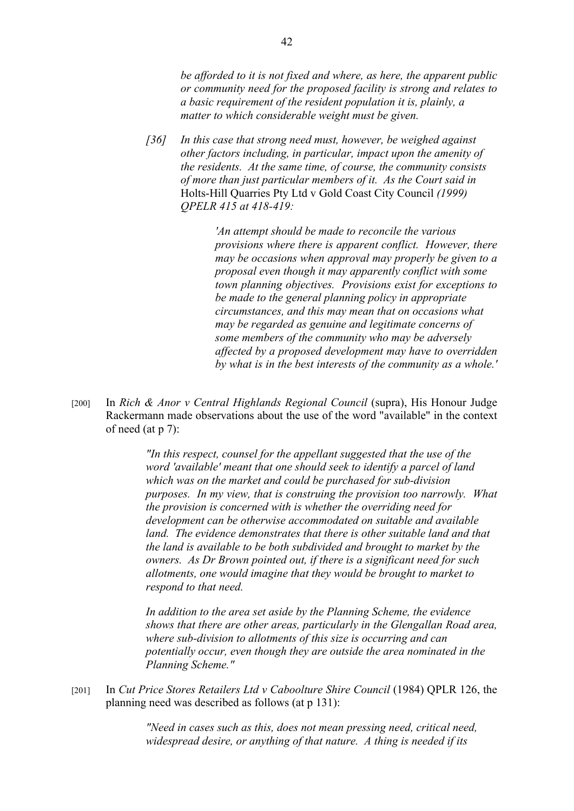*be afforded to it is not fixed and where, as here, the apparent public or community need for the proposed facility is strong and relates to a basic requirement of the resident population it is, plainly, a matter to which considerable weight must be given.* 

*[36] In this case that strong need must, however, be weighed against other factors including, in particular, impact upon the amenity of the residents. At the same time, of course, the community consists of more than just particular members of it. As the Court said in*  Holts-Hill Quarries Pty Ltd v Gold Coast City Council *(1999) QPELR 415 at 418-419:* 

> *'An attempt should be made to reconcile the various provisions where there is apparent conflict. However, there may be occasions when approval may properly be given to a proposal even though it may apparently conflict with some town planning objectives. Provisions exist for exceptions to be made to the general planning policy in appropriate circumstances, and this may mean that on occasions what may be regarded as genuine and legitimate concerns of some members of the community who may be adversely affected by a proposed development may have to overridden by what is in the best interests of the community as a whole.'*

[200] In *Rich & Anor v Central Highlands Regional Council* (supra), His Honour Judge Rackermann made observations about the use of the word "available" in the context of need (at p 7):

> *"In this respect, counsel for the appellant suggested that the use of the word 'available' meant that one should seek to identify a parcel of land which was on the market and could be purchased for sub-division purposes. In my view, that is construing the provision too narrowly. What the provision is concerned with is whether the overriding need for development can be otherwise accommodated on suitable and available land. The evidence demonstrates that there is other suitable land and that the land is available to be both subdivided and brought to market by the owners. As Dr Brown pointed out, if there is a significant need for such allotments, one would imagine that they would be brought to market to respond to that need.*

> *In addition to the area set aside by the Planning Scheme, the evidence shows that there are other areas, particularly in the Glengallan Road area, where sub-division to allotments of this size is occurring and can potentially occur, even though they are outside the area nominated in the Planning Scheme."*

[201] In *Cut Price Stores Retailers Ltd v Caboolture Shire Council* (1984) QPLR 126, the planning need was described as follows (at p 131):

> *"Need in cases such as this, does not mean pressing need, critical need, widespread desire, or anything of that nature. A thing is needed if its*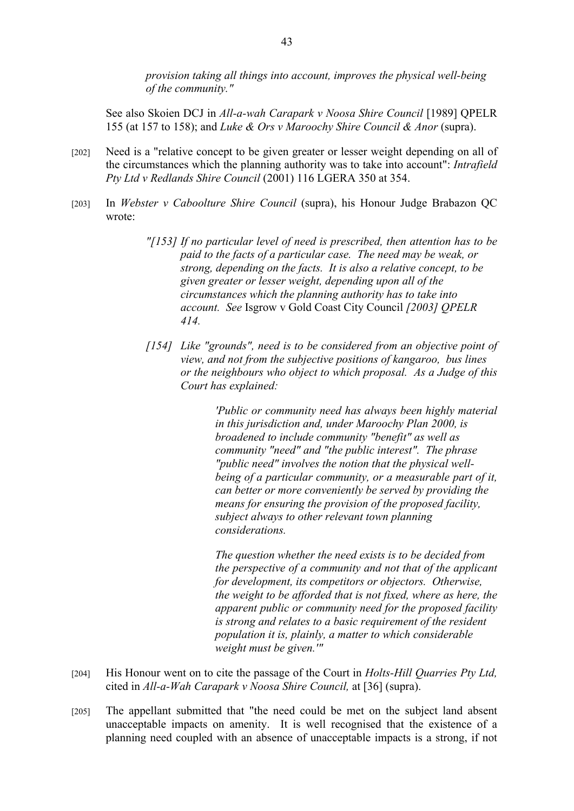*provision taking all things into account, improves the physical well-being of the community."*

See also Skoien DCJ in *All-a-wah Carapark v Noosa Shire Council* [1989] QPELR 155 (at 157 to 158); and *Luke & Ors v Maroochy Shire Council & Anor* (supra).

- [202] Need is a "relative concept to be given greater or lesser weight depending on all of the circumstances which the planning authority was to take into account": *Intrafield Pty Ltd v Redlands Shire Council* (2001) 116 LGERA 350 at 354.
- [203] In *Webster v Caboolture Shire Council* (supra), his Honour Judge Brabazon QC wrote:
	- *"[153] If no particular level of need is prescribed, then attention has to be paid to the facts of a particular case. The need may be weak, or strong, depending on the facts. It is also a relative concept, to be given greater or lesser weight, depending upon all of the circumstances which the planning authority has to take into account. See* Isgrow v Gold Coast City Council *[2003] QPELR 414.*
	- *[154] Like "grounds", need is to be considered from an objective point of view, and not from the subjective positions of kangaroo, bus lines or the neighbours who object to which proposal. As a Judge of this Court has explained:*

*'Public or community need has always been highly material in this jurisdiction and, under Maroochy Plan 2000, is broadened to include community "benefit" as well as community "need" and "the public interest". The phrase "public need" involves the notion that the physical wellbeing of a particular community, or a measurable part of it, can better or more conveniently be served by providing the means for ensuring the provision of the proposed facility, subject always to other relevant town planning considerations.*

*The question whether the need exists is to be decided from the perspective of a community and not that of the applicant for development, its competitors or objectors. Otherwise, the weight to be afforded that is not fixed, where as here, the apparent public or community need for the proposed facility is strong and relates to a basic requirement of the resident population it is, plainly, a matter to which considerable weight must be given.'"*

- [204] His Honour went on to cite the passage of the Court in *Holts-Hill Quarries Pty Ltd,*  cited in *All-a-Wah Carapark v Noosa Shire Council,* at [36] (supra).
- [205] The appellant submitted that "the need could be met on the subject land absent unacceptable impacts on amenity. It is well recognised that the existence of a planning need coupled with an absence of unacceptable impacts is a strong, if not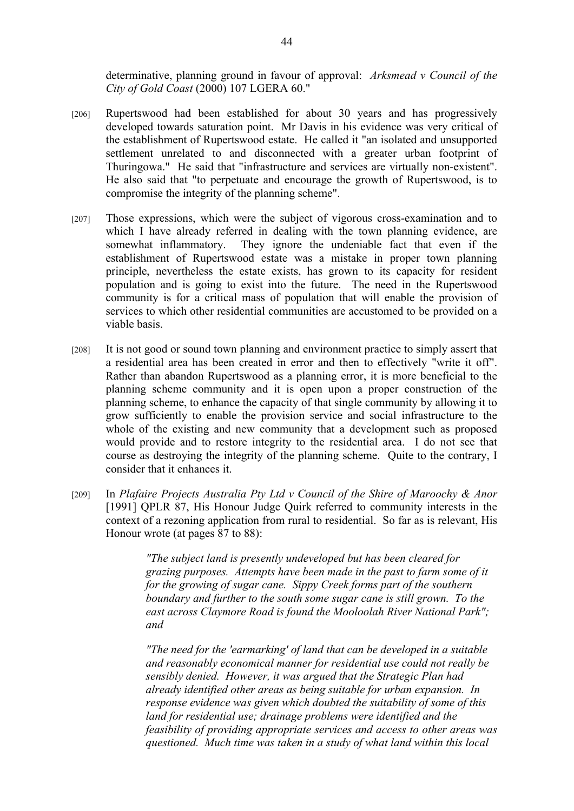determinative, planning ground in favour of approval: *Arksmead v Council of the City of Gold Coast* (2000) 107 LGERA 60."

- [206] Rupertswood had been established for about 30 years and has progressively developed towards saturation point. Mr Davis in his evidence was very critical of the establishment of Rupertswood estate. He called it "an isolated and unsupported settlement unrelated to and disconnected with a greater urban footprint of Thuringowa." He said that "infrastructure and services are virtually non-existent". He also said that "to perpetuate and encourage the growth of Rupertswood, is to compromise the integrity of the planning scheme".
- [207] Those expressions, which were the subject of vigorous cross-examination and to which I have already referred in dealing with the town planning evidence, are somewhat inflammatory. They ignore the undeniable fact that even if the establishment of Rupertswood estate was a mistake in proper town planning principle, nevertheless the estate exists, has grown to its capacity for resident population and is going to exist into the future. The need in the Rupertswood community is for a critical mass of population that will enable the provision of services to which other residential communities are accustomed to be provided on a viable basis.
- [208] It is not good or sound town planning and environment practice to simply assert that a residential area has been created in error and then to effectively "write it off". Rather than abandon Rupertswood as a planning error, it is more beneficial to the planning scheme community and it is open upon a proper construction of the planning scheme, to enhance the capacity of that single community by allowing it to grow sufficiently to enable the provision service and social infrastructure to the whole of the existing and new community that a development such as proposed would provide and to restore integrity to the residential area. I do not see that course as destroying the integrity of the planning scheme. Quite to the contrary, I consider that it enhances it.
- [209] In *Plafaire Projects Australia Pty Ltd v Council of the Shire of Maroochy & Anor* [1991] QPLR 87, His Honour Judge Quirk referred to community interests in the context of a rezoning application from rural to residential. So far as is relevant, His Honour wrote (at pages 87 to 88):

*"The subject land is presently undeveloped but has been cleared for grazing purposes. Attempts have been made in the past to farm some of it for the growing of sugar cane. Sippy Creek forms part of the southern boundary and further to the south some sugar cane is still grown. To the east across Claymore Road is found the Mooloolah River National Park"; and* 

*"The need for the 'earmarking' of land that can be developed in a suitable and reasonably economical manner for residential use could not really be sensibly denied. However, it was argued that the Strategic Plan had already identified other areas as being suitable for urban expansion. In response evidence was given which doubted the suitability of some of this land for residential use; drainage problems were identified and the feasibility of providing appropriate services and access to other areas was questioned. Much time was taken in a study of what land within this local*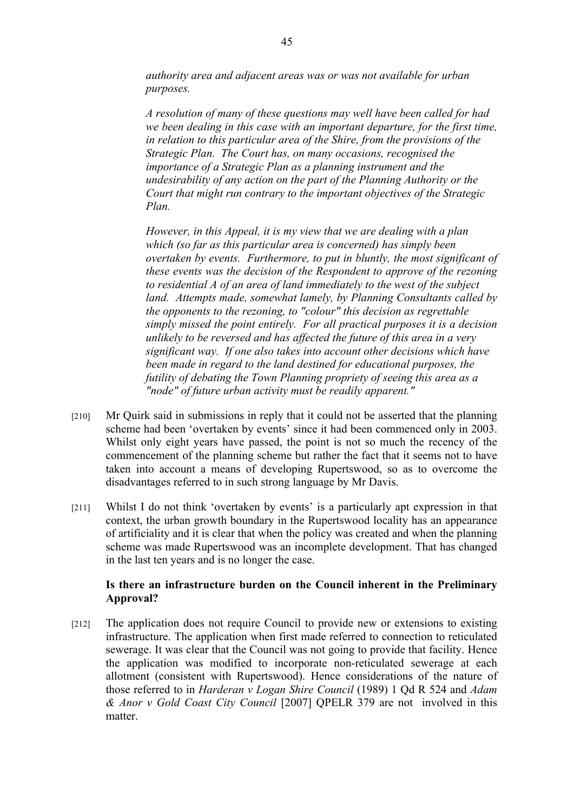*authority area and adjacent areas was or was not available for urban purposes.* 

*A resolution of many of these questions may well have been called for had we been dealing in this case with an important departure, for the first time, in relation to this particular area of the Shire, from the provisions of the Strategic Plan. The Court has, on many occasions, recognised the importance of a Strategic Plan as a planning instrument and the undesirability of any action on the part of the Planning Authority or the Court that might run contrary to the important objectives of the Strategic Plan.* 

*However, in this Appeal, it is my view that we are dealing with a plan which (so far as this particular area is concerned) has simply been overtaken by events. Furthermore, to put in bluntly, the most significant of these events was the decision of the Respondent to approve of the rezoning to residential A of an area of land immediately to the west of the subject land. Attempts made, somewhat lamely, by Planning Consultants called by the opponents to the rezoning, to "colour" this decision as regrettable simply missed the point entirely. For all practical purposes it is a decision unlikely to be reversed and has affected the future of this area in a very significant way. If one also takes into account other decisions which have been made in regard to the land destined for educational purposes, the futility of debating the Town Planning propriety of seeing this area as a "node" of future urban activity must be readily apparent."*

- [210] Mr Quirk said in submissions in reply that it could not be asserted that the planning scheme had been 'overtaken by events' since it had been commenced only in 2003. Whilst only eight years have passed, the point is not so much the recency of the commencement of the planning scheme but rather the fact that it seems not to have taken into account a means of developing Rupertswood, so as to overcome the disadvantages referred to in such strong language by Mr Davis.
- [211] Whilst I do not think 'overtaken by events' is a particularly apt expression in that context, the urban growth boundary in the Rupertswood locality has an appearance of artificiality and it is clear that when the policy was created and when the planning scheme was made Rupertswood was an incomplete development. That has changed in the last ten years and is no longer the case.

## **Is there an infrastructure burden on the Council inherent in the Preliminary Approval?**

[212] The application does not require Council to provide new or extensions to existing infrastructure. The application when first made referred to connection to reticulated sewerage. It was clear that the Council was not going to provide that facility. Hence the application was modified to incorporate non-reticulated sewerage at each allotment (consistent with Rupertswood). Hence considerations of the nature of those referred to in *Harderan v Logan Shire Council* (1989) 1 Qd R 524 and *Adam & Anor v Gold Coast City Council* [2007] QPELR 379 are not involved in this matter.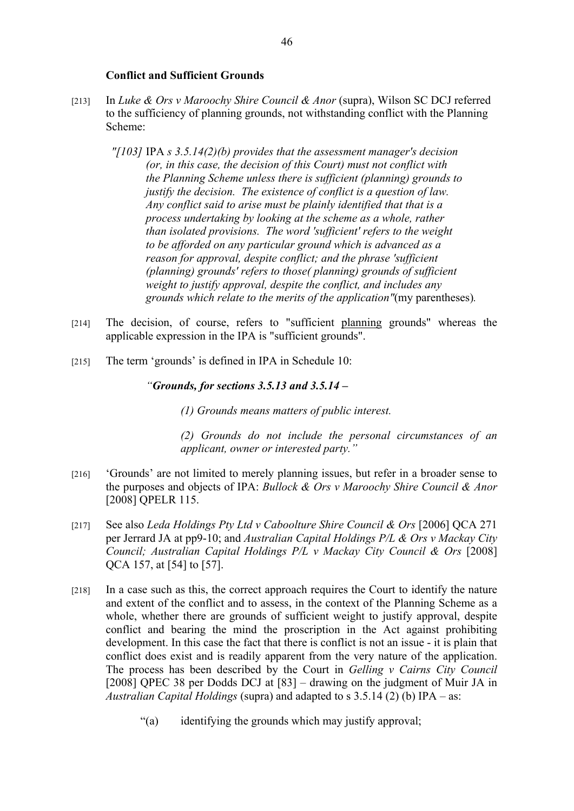#### **Conflict and Sufficient Grounds**

- [213] In *Luke & Ors v Maroochy Shire Council & Anor* (supra), Wilson SC DCJ referred to the sufficiency of planning grounds, not withstanding conflict with the Planning Scheme:
	- *"[103]* IPA *s 3.5.14(2)(b) provides that the assessment manager's decision (or, in this case, the decision of this Court) must not conflict with the Planning Scheme unless there is sufficient (planning) grounds to justify the decision. The existence of conflict is a question of law. Any conflict said to arise must be plainly identified that that is a process undertaking by looking at the scheme as a whole, rather than isolated provisions. The word 'sufficient' refers to the weight to be afforded on any particular ground which is advanced as a reason for approval, despite conflict; and the phrase 'sufficient (planning) grounds' refers to those( planning) grounds of sufficient weight to justify approval, despite the conflict, and includes any grounds which relate to the merits of the application"*(my parentheses)*.*
- [214] The decision, of course, refers to "sufficient planning grounds" whereas the applicable expression in the IPA is "sufficient grounds".
- [215] The term 'grounds' is defined in IPA in Schedule 10:

## *"Grounds, for sections 3.5.13 and 3.5.14 –*

*(1) Grounds means matters of public interest.*

*(2) Grounds do not include the personal circumstances of an applicant, owner or interested party."*

- [216] 'Grounds' are not limited to merely planning issues, but refer in a broader sense to the purposes and objects of IPA: *Bullock & Ors v Maroochy Shire Council & Anor* [2008] QPELR 115.
- [217] See also *Leda Holdings Pty Ltd v Caboolture Shire Council & Ors* [2006] QCA 271 per Jerrard JA at pp9-10; and *Australian Capital Holdings P/L & Ors v Mackay City Council; Australian Capital Holdings P/L v Mackay City Council & Ors* [2008] QCA 157, at [54] to [57].
- [218] In a case such as this, the correct approach requires the Court to identify the nature and extent of the conflict and to assess, in the context of the Planning Scheme as a whole, whether there are grounds of sufficient weight to justify approval, despite conflict and bearing the mind the proscription in the Act against prohibiting development. In this case the fact that there is conflict is not an issue - it is plain that conflict does exist and is readily apparent from the very nature of the application. The process has been described by the Court in *Gelling v Cairns City Council* [2008] QPEC 38 per Dodds DCJ at [83] – drawing on the judgment of Muir JA in *Australian Capital Holdings* (supra) and adapted to s 3.5.14 (2) (b) IPA – as:
	- "(a) identifying the grounds which may justify approval;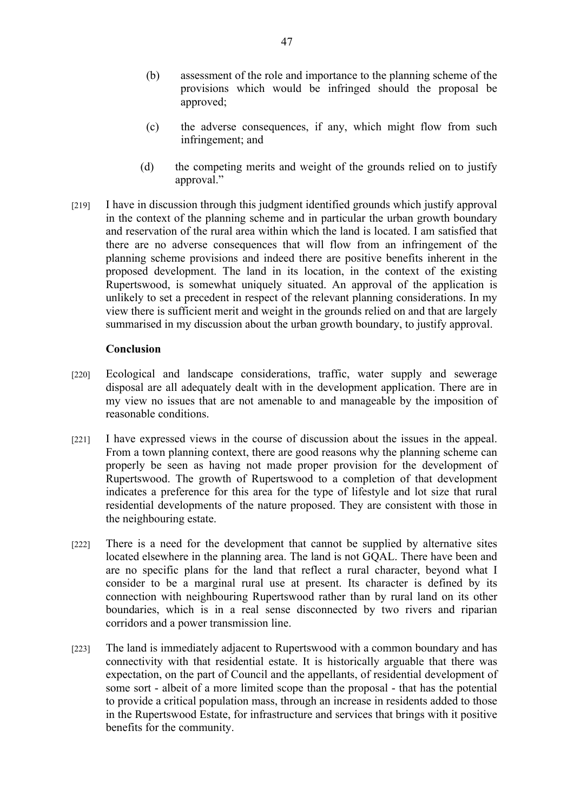- (b) assessment of the role and importance to the planning scheme of the provisions which would be infringed should the proposal be approved;
- (c) the adverse consequences, if any, which might flow from such infringement; and
- (d) the competing merits and weight of the grounds relied on to justify approval."
- [219] I have in discussion through this judgment identified grounds which justify approval in the context of the planning scheme and in particular the urban growth boundary and reservation of the rural area within which the land is located. I am satisfied that there are no adverse consequences that will flow from an infringement of the planning scheme provisions and indeed there are positive benefits inherent in the proposed development. The land in its location, in the context of the existing Rupertswood, is somewhat uniquely situated. An approval of the application is unlikely to set a precedent in respect of the relevant planning considerations. In my view there is sufficient merit and weight in the grounds relied on and that are largely summarised in my discussion about the urban growth boundary, to justify approval.

#### **Conclusion**

- [220] Ecological and landscape considerations, traffic, water supply and sewerage disposal are all adequately dealt with in the development application. There are in my view no issues that are not amenable to and manageable by the imposition of reasonable conditions.
- [221] I have expressed views in the course of discussion about the issues in the appeal. From a town planning context, there are good reasons why the planning scheme can properly be seen as having not made proper provision for the development of Rupertswood. The growth of Rupertswood to a completion of that development indicates a preference for this area for the type of lifestyle and lot size that rural residential developments of the nature proposed. They are consistent with those in the neighbouring estate.
- [222] There is a need for the development that cannot be supplied by alternative sites located elsewhere in the planning area. The land is not GQAL. There have been and are no specific plans for the land that reflect a rural character, beyond what I consider to be a marginal rural use at present. Its character is defined by its connection with neighbouring Rupertswood rather than by rural land on its other boundaries, which is in a real sense disconnected by two rivers and riparian corridors and a power transmission line.
- [223] The land is immediately adjacent to Rupertswood with a common boundary and has connectivity with that residential estate. It is historically arguable that there was expectation, on the part of Council and the appellants, of residential development of some sort - albeit of a more limited scope than the proposal - that has the potential to provide a critical population mass, through an increase in residents added to those in the Rupertswood Estate, for infrastructure and services that brings with it positive benefits for the community.